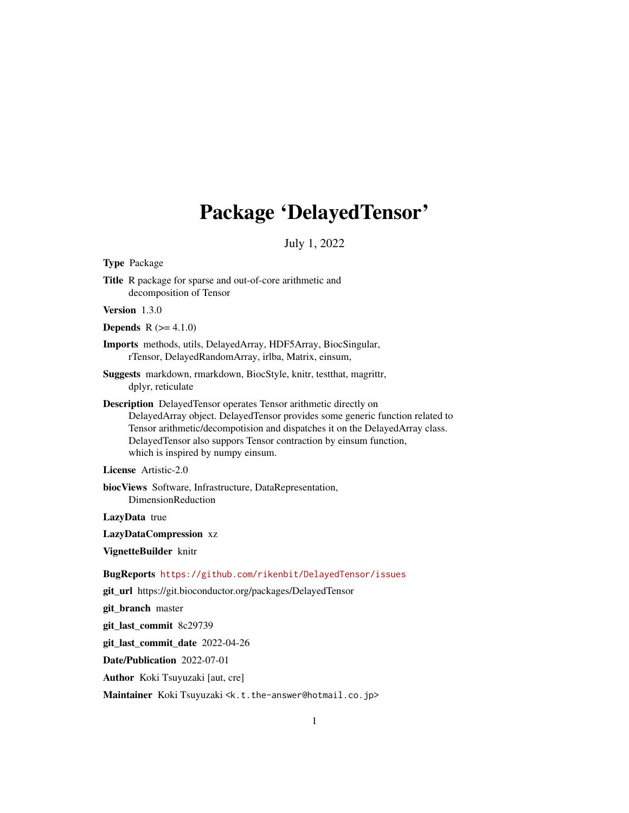# Package 'DelayedTensor'

July 1, 2022

Type Package

Title R package for sparse and out-of-core arithmetic and decomposition of Tensor

Version 1.3.0

**Depends**  $R (= 4.1.0)$ 

Imports methods, utils, DelayedArray, HDF5Array, BiocSingular, rTensor, DelayedRandomArray, irlba, Matrix, einsum,

Suggests markdown, rmarkdown, BiocStyle, knitr, testthat, magrittr, dplyr, reticulate

Description DelayedTensor operates Tensor arithmetic directly on DelayedArray object. DelayedTensor provides some generic function related to Tensor arithmetic/decompotision and dispatches it on the DelayedArray class. DelayedTensor also suppors Tensor contraction by einsum function, which is inspired by numpy einsum.

License Artistic-2.0

biocViews Software, Infrastructure, DataRepresentation, DimensionReduction

LazyData true

LazyDataCompression xz

VignetteBuilder knitr

BugReports <https://github.com/rikenbit/DelayedTensor/issues>

git\_url https://git.bioconductor.org/packages/DelayedTensor

git\_branch master

git\_last\_commit 8c29739

git\_last\_commit\_date 2022-04-26

Date/Publication 2022-07-01

Author Koki Tsuyuzaki [aut, cre]

Maintainer Koki Tsuyuzaki <k.t.the-answer@hotmail.co.jp>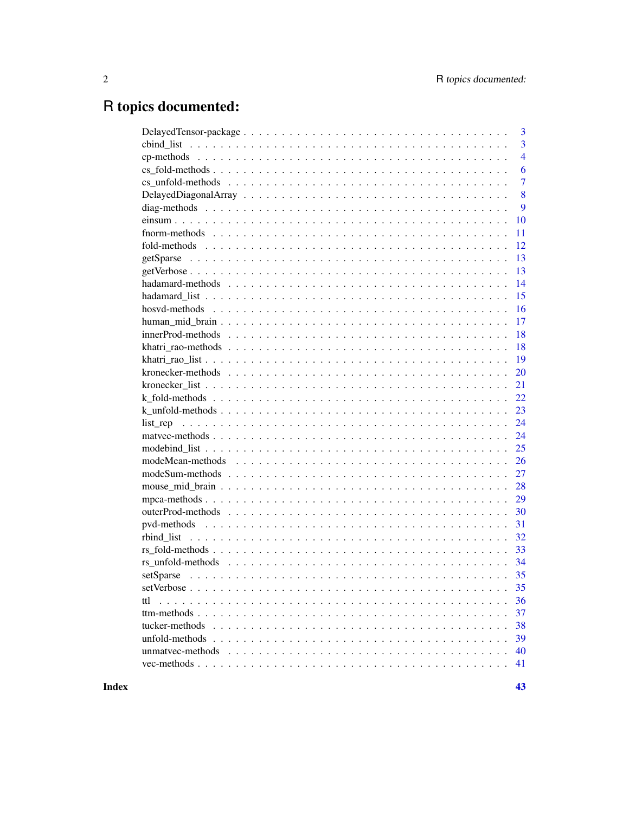# R topics documented:

|                  | 3              |
|------------------|----------------|
|                  | $\overline{3}$ |
|                  | $\overline{4}$ |
|                  | 6              |
|                  | $\overline{7}$ |
|                  | 8              |
|                  | 9              |
|                  | 10             |
|                  | 11             |
|                  | 12             |
|                  | 13             |
|                  | 13             |
|                  | 14             |
|                  | 15             |
|                  | 16             |
|                  | 17             |
|                  | 18             |
|                  | 18             |
|                  | 19             |
|                  | 20             |
|                  | 21             |
|                  | 22             |
|                  | 23             |
|                  | 24             |
|                  | 24             |
|                  | 25             |
|                  | 26             |
|                  | 27             |
|                  | 28             |
|                  | 29             |
|                  | 30             |
|                  | 31             |
|                  | 32             |
|                  | 33             |
|                  | 34             |
|                  |                |
|                  |                |
| ttl              | 36             |
|                  | 37             |
| tucker-methods   | 38             |
| unfold-methods   | 39             |
| unmatyec-methods | 40             |
|                  | 41             |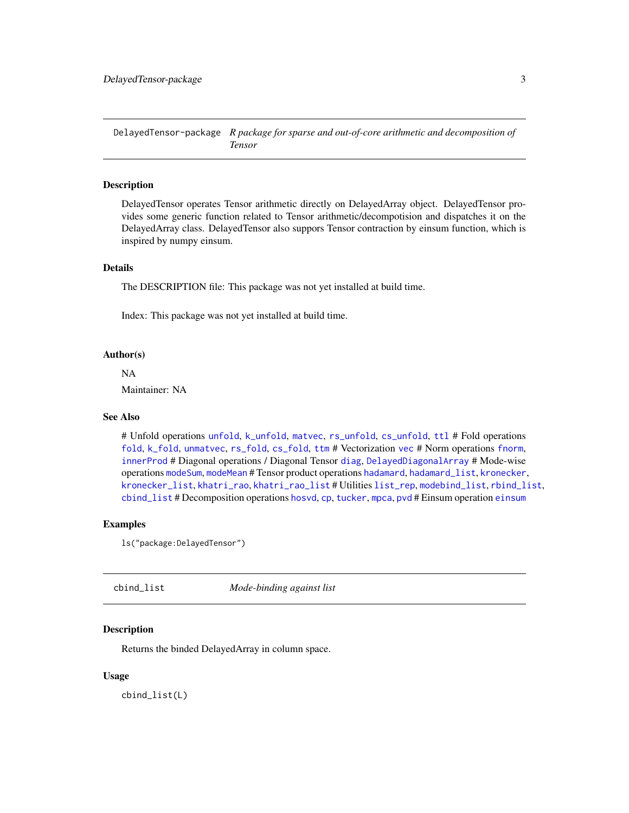<span id="page-2-0"></span>DelayedTensor-package *R package for sparse and out-of-core arithmetic and decomposition of Tensor*

#### Description

DelayedTensor operates Tensor arithmetic directly on DelayedArray object. DelayedTensor provides some generic function related to Tensor arithmetic/decompotision and dispatches it on the DelayedArray class. DelayedTensor also suppors Tensor contraction by einsum function, which is inspired by numpy einsum.

## Details

The DESCRIPTION file: This package was not yet installed at build time.

Index: This package was not yet installed at build time.

#### Author(s)

NA Maintainer: NA

## See Also

# Unfold operations [unfold](#page-38-1), [k\\_unfold](#page-22-1), [matvec](#page-23-1), [rs\\_unfold](#page-33-1), [cs\\_unfold](#page-6-1), [ttl](#page-35-1) # Fold operations [fold](#page-11-1), [k\\_fold](#page-21-1), [unmatvec](#page-39-1), [rs\\_fold](#page-32-1), [cs\\_fold](#page-5-1), [ttm](#page-36-1) # Vectorization [vec](#page-40-1) # Norm operations [fnorm](#page-10-1), [innerProd](#page-17-1) # Diagonal operations / Diagonal Tensor [diag](#page-8-1), [DelayedDiagonalArray](#page-7-1) # Mode-wise operations [modeSum](#page-26-1), [modeMean](#page-25-1) # Tensor product operations [hadamard](#page-13-1), [hadamard\\_list](#page-14-1), [kronecker](#page-19-1), [kronecker\\_list](#page-20-1), [khatri\\_rao](#page-17-2), [khatri\\_rao\\_list](#page-18-1) # Utilities [list\\_rep](#page-23-2), [modebind\\_list](#page-24-1), [rbind\\_list](#page-31-1), [cbind\\_list](#page-2-1) # Decomposition operations [hosvd](#page-15-1), [cp](#page-3-1), [tucker](#page-37-1), [mpca](#page-28-1), [pvd](#page-30-1) # Einsum operation [einsum](#page-9-1)

#### Examples

ls("package:DelayedTensor")

<span id="page-2-1"></span>

| cbind_list | Mode-binding against list |  |
|------------|---------------------------|--|
|------------|---------------------------|--|

## Description

Returns the binded DelayedArray in column space.

#### Usage

cbind\_list(L)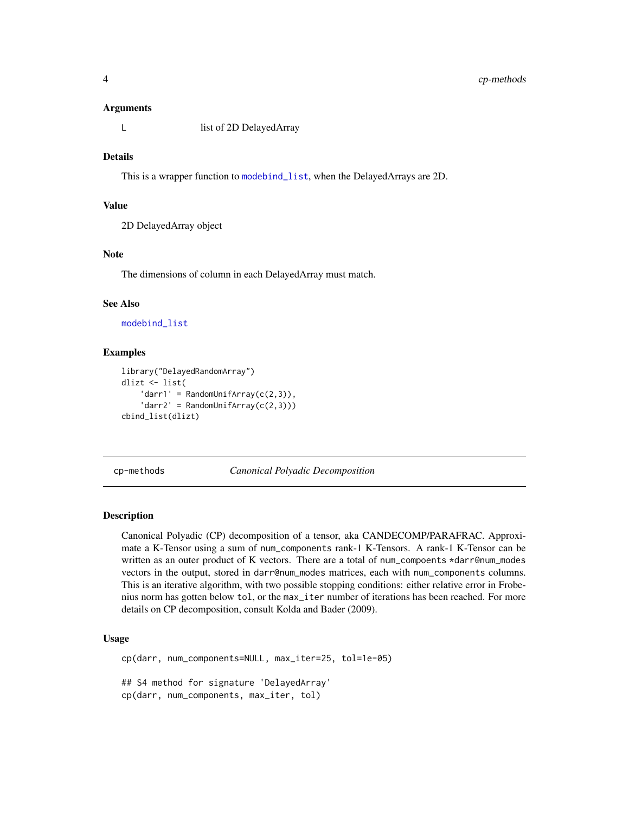#### <span id="page-3-0"></span>Arguments

L list of 2D DelayedArray

#### Details

This is a wrapper function to [modebind\\_list](#page-24-1), when the DelayedArrays are 2D.

#### Value

2D DelayedArray object

#### Note

The dimensions of column in each DelayedArray must match.

#### See Also

[modebind\\_list](#page-24-1)

#### Examples

```
library("DelayedRandomArray")
dlizt <- list(
    'darr1' = RandomUniform(C(2,3)),
    'darr2' = RandomUniform(C(2,3)))cbind_list(dlizt)
```
cp-methods *Canonical Polyadic Decomposition*

## <span id="page-3-1"></span>**Description**

Canonical Polyadic (CP) decomposition of a tensor, aka CANDECOMP/PARAFRAC. Approximate a K-Tensor using a sum of num\_components rank-1 K-Tensors. A rank-1 K-Tensor can be written as an outer product of K vectors. There are a total of num\_compoents \*darr@num\_modes vectors in the output, stored in darr@num\_modes matrices, each with num\_components columns. This is an iterative algorithm, with two possible stopping conditions: either relative error in Frobenius norm has gotten below tol, or the max\_iter number of iterations has been reached. For more details on CP decomposition, consult Kolda and Bader (2009).

#### Usage

```
cp(darr, num_components=NULL, max_iter=25, tol=1e-05)
## S4 method for signature 'DelayedArray'
cp(darr, num_components, max_iter, tol)
```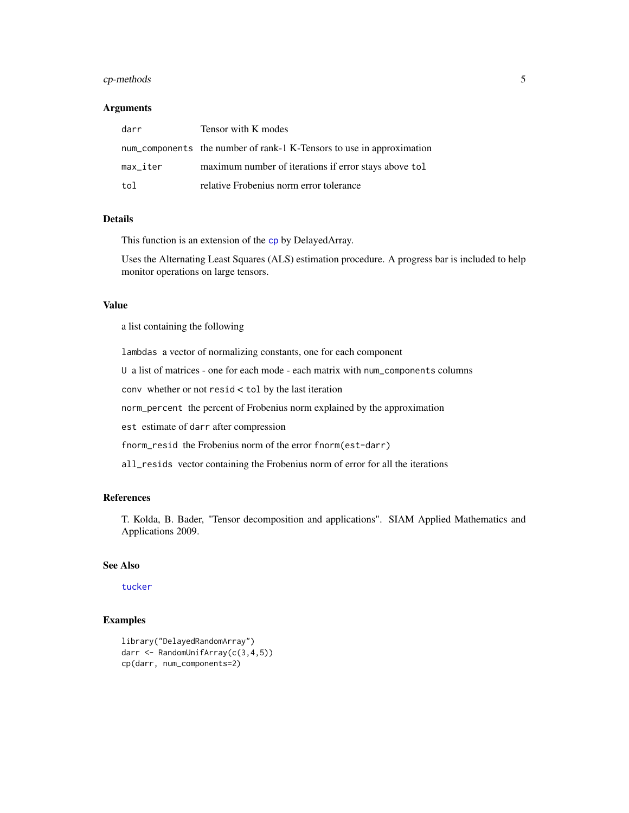## <span id="page-4-0"></span>cp-methods 5

#### Arguments

| darr     | Tensor with K modes                                                   |
|----------|-----------------------------------------------------------------------|
|          | num_components the number of rank-1 K-Tensors to use in approximation |
| max_iter | maximum number of iterations if error stays above tol                 |
| tol      | relative Frobenius norm error tolerance                               |

## Details

This function is an extension of the [cp](#page-3-1) by DelayedArray.

Uses the Alternating Least Squares (ALS) estimation procedure. A progress bar is included to help monitor operations on large tensors.

## Value

a list containing the following

lambdas a vector of normalizing constants, one for each component

U a list of matrices - one for each mode - each matrix with num\_components columns

conv whether or not resid < tol by the last iteration

norm\_percent the percent of Frobenius norm explained by the approximation

est estimate of darr after compression

fnorm\_resid the Frobenius norm of the error fnorm(est-darr)

all\_resids vector containing the Frobenius norm of error for all the iterations

## References

T. Kolda, B. Bader, "Tensor decomposition and applications". SIAM Applied Mathematics and Applications 2009.

## See Also

[tucker](#page-37-1)

```
library("DelayedRandomArray")
darr <- RandomUnifArray(c(3,4,5))
cp(darr, num_components=2)
```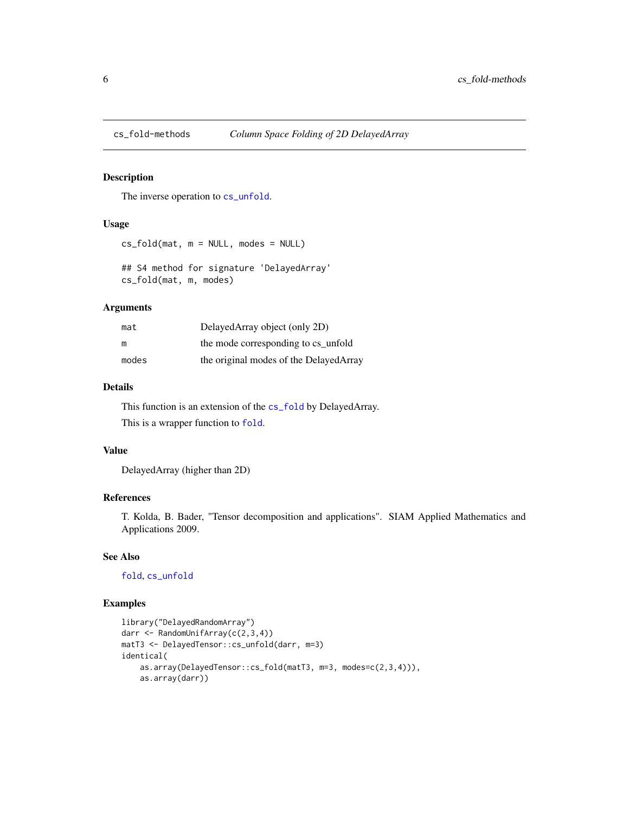<span id="page-5-1"></span><span id="page-5-0"></span>

The inverse operation to [cs\\_unfold](#page-6-1).

#### Usage

```
cs_fold(mat, m = NULL, modes = NULL)
```

```
## S4 method for signature 'DelayedArray'
cs_fold(mat, m, modes)
```
#### Arguments

| mat   | DelayedArray object (only 2D)          |
|-------|----------------------------------------|
| m     | the mode corresponding to cs unfold    |
| modes | the original modes of the DelayedArray |

#### Details

This function is an extension of the [cs\\_fold](#page-5-1) by DelayedArray. This is a wrapper function to [fold](#page-11-1).

## Value

DelayedArray (higher than 2D)

## References

T. Kolda, B. Bader, "Tensor decomposition and applications". SIAM Applied Mathematics and Applications 2009.

## See Also

#### [fold](#page-11-1), [cs\\_unfold](#page-6-1)

```
library("DelayedRandomArray")
darr <- RandomUnifArray(c(2,3,4))
matT3 <- DelayedTensor::cs_unfold(darr, m=3)
identical(
   as.array(DelayedTensor::cs_fold(matT3, m=3, modes=c(2,3,4))),
   as.array(darr))
```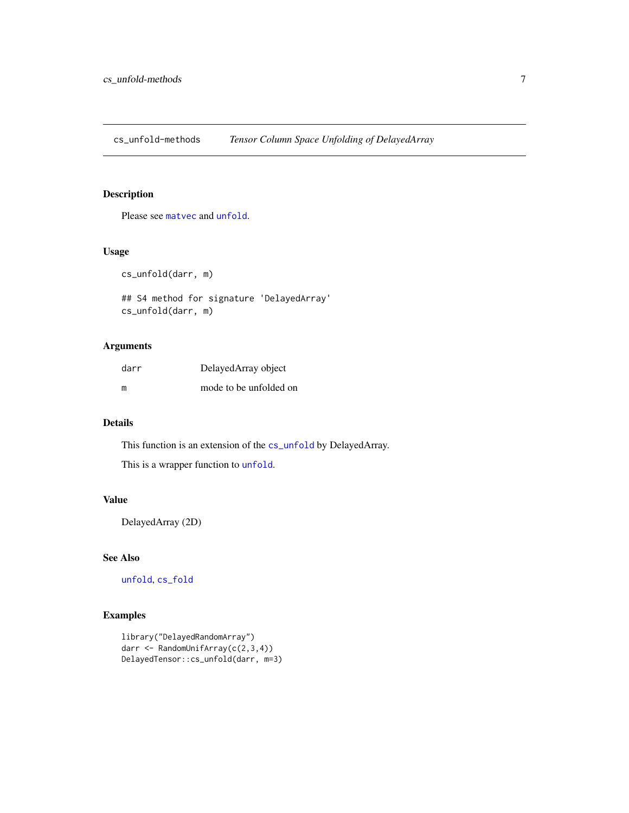<span id="page-6-0"></span>cs\_unfold-methods *Tensor Column Space Unfolding of DelayedArray*

#### <span id="page-6-1"></span>Description

Please see [matvec](#page-23-1) and [unfold](#page-38-1).

#### Usage

cs\_unfold(darr, m)

```
## S4 method for signature 'DelayedArray'
cs_unfold(darr, m)
```
## Arguments

| darr | Delayed Array object   |
|------|------------------------|
| m    | mode to be unfolded on |

## Details

This function is an extension of the [cs\\_unfold](#page-6-1) by DelayedArray.

This is a wrapper function to [unfold](#page-38-1).

## Value

DelayedArray (2D)

## See Also

[unfold](#page-38-1), [cs\\_fold](#page-5-1)

```
library("DelayedRandomArray")
darr <- RandomUnifArray(c(2,3,4))
DelayedTensor::cs_unfold(darr, m=3)
```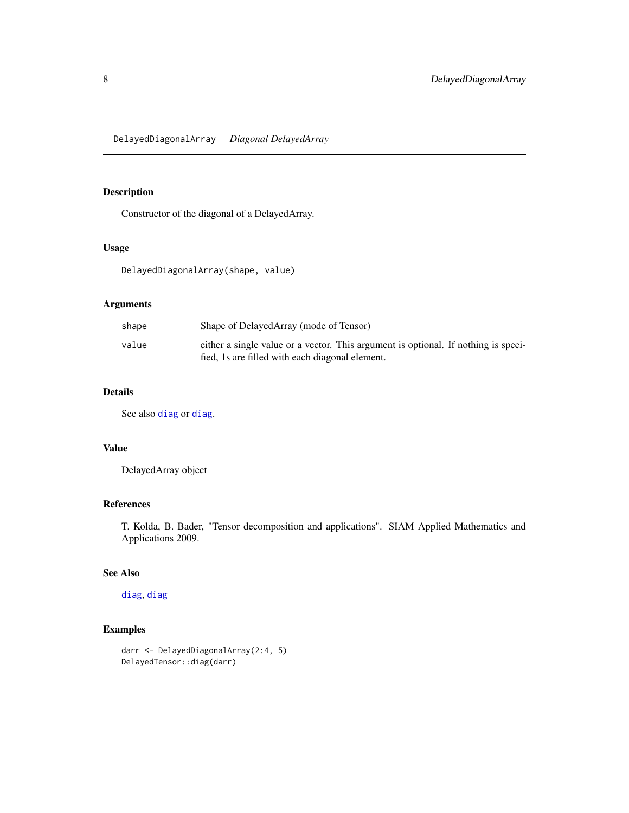<span id="page-7-1"></span><span id="page-7-0"></span>Constructor of the diagonal of a DelayedArray.

## Usage

DelayedDiagonalArray(shape, value)

## Arguments

| shape | Shape of DelayedArray (mode of Tensor)                                                                                                |
|-------|---------------------------------------------------------------------------------------------------------------------------------------|
| value | either a single value or a vector. This argument is optional. If nothing is speci-<br>fied, 1s are filled with each diagonal element. |

## Details

See also [diag](#page-8-1) or [diag](#page-8-1).

#### Value

DelayedArray object

## References

T. Kolda, B. Bader, "Tensor decomposition and applications". SIAM Applied Mathematics and Applications 2009.

## See Also

## [diag](#page-8-1), [diag](#page-8-1)

```
darr <- DelayedDiagonalArray(2:4, 5)
DelayedTensor::diag(darr)
```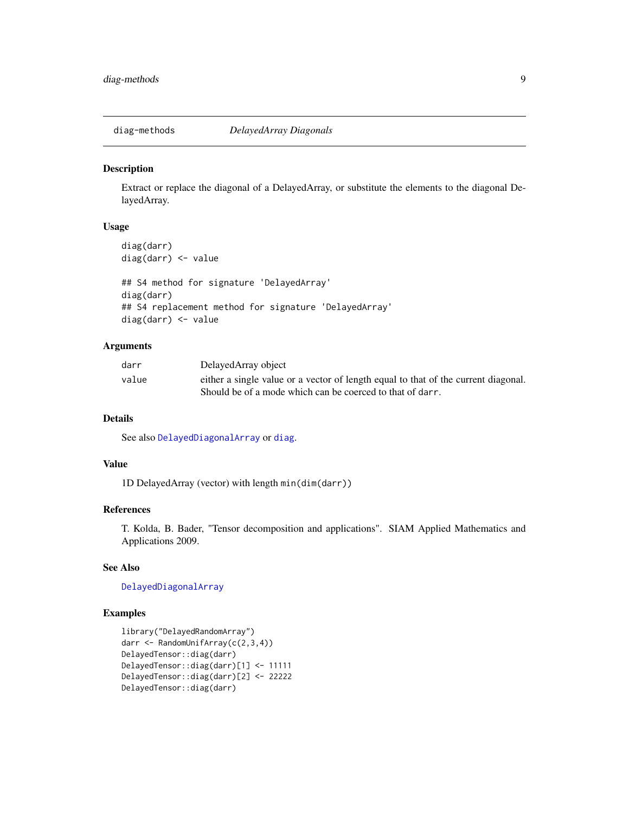<span id="page-8-1"></span><span id="page-8-0"></span>

Extract or replace the diagonal of a DelayedArray, or substitute the elements to the diagonal DelayedArray.

## Usage

```
diag(darr)
diag(darr) <- value
## S4 method for signature 'DelayedArray'
diag(darr)
## S4 replacement method for signature 'DelayedArray'
diag(darr) <- value
```
#### Arguments

| darr  | DelayedArray object                                                                |
|-------|------------------------------------------------------------------------------------|
| value | either a single value or a vector of length equal to that of the current diagonal. |
|       | Should be of a mode which can be coerced to that of darr.                          |

## Details

See also [DelayedDiagonalArray](#page-7-1) or [diag](#page-8-1).

## Value

1D DelayedArray (vector) with length min(dim(darr))

#### References

T. Kolda, B. Bader, "Tensor decomposition and applications". SIAM Applied Mathematics and Applications 2009.

## See Also

[DelayedDiagonalArray](#page-7-1)

```
library("DelayedRandomArray")
darr <- RandomUnifArray(c(2,3,4))
DelayedTensor::diag(darr)
DelayedTensor::diag(darr)[1] <- 11111
DelayedTensor::diag(darr)[2] <- 22222
DelayedTensor::diag(darr)
```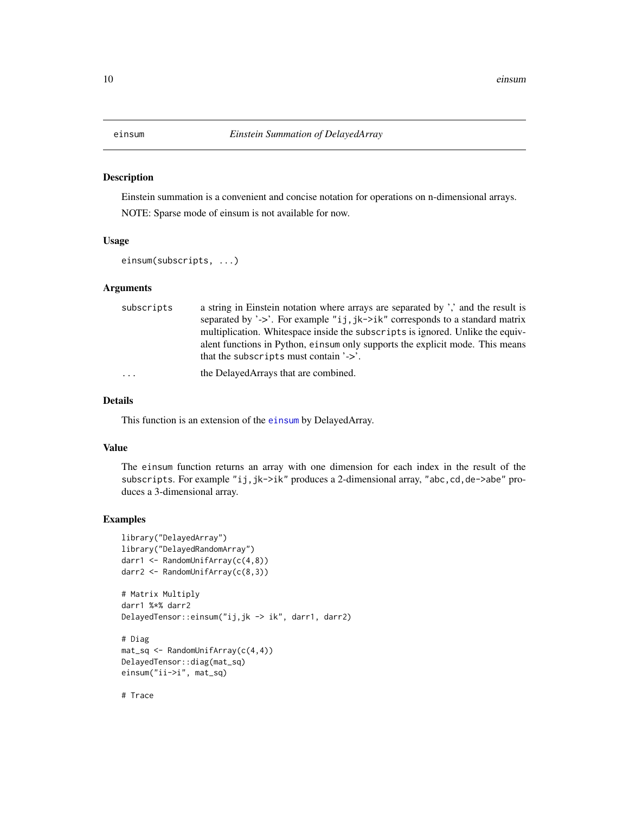<span id="page-9-1"></span><span id="page-9-0"></span>Einstein summation is a convenient and concise notation for operations on n-dimensional arrays.

NOTE: Sparse mode of einsum is not available for now.

#### Usage

```
einsum(subscripts, ...)
```
## Arguments

| subscripts | a string in Einstein notation where arrays are separated by ',' and the result is |
|------------|-----------------------------------------------------------------------------------|
|            | separated by '->'. For example "ij, jk->ik" corresponds to a standard matrix      |
|            | multiplication. White space inside the subscripts is ignored. Unlike the equiv-   |
|            | alent functions in Python, einsum only supports the explicit mode. This means     |
|            | that the subscripts must contain $\geq$ .                                         |
| $\cdots$   | the DelayedArrays that are combined.                                              |

## Details

This function is an extension of the [einsum](#page-9-1) by DelayedArray.

#### Value

The einsum function returns an array with one dimension for each index in the result of the subscripts. For example "ij,jk->ik" produces a 2-dimensional array, "abc,cd,de->abe" produces a 3-dimensional array.

## Examples

```
library("DelayedArray")
library("DelayedRandomArray")
darr1 <- RandomUnifArray(c(4,8))
darr2 <- RandomUnifArray(c(8,3))
# Matrix Multiply
darr1 %*% darr2
DelayedTensor::einsum("ij,jk -> ik", darr1, darr2)
# Diag
mat_sq <- RandomUnifArray(c(4,4))
DelayedTensor::diag(mat_sq)
einsum("ii->i", mat_sq)
```
# Trace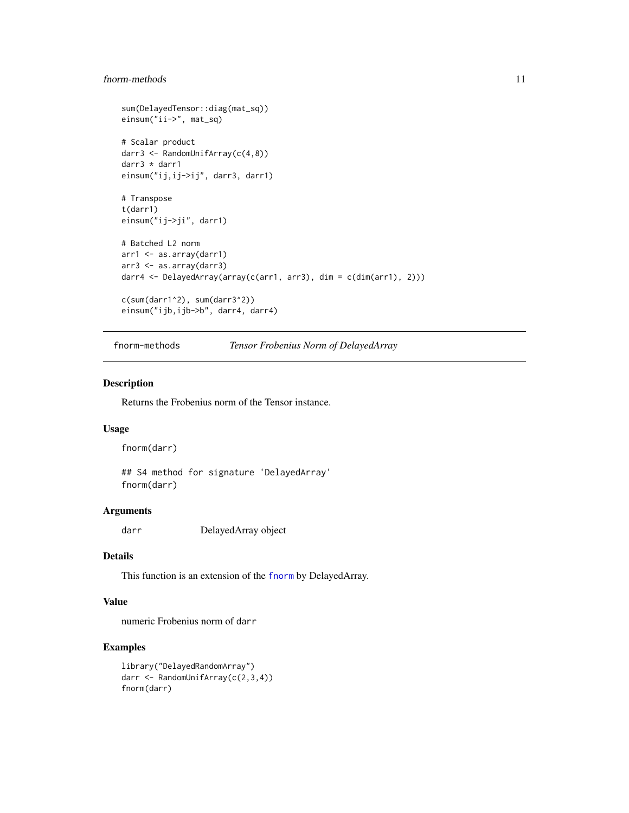## <span id="page-10-0"></span>f<sub>n</sub>orm-methods 11

```
sum(DelayedTensor::diag(mat_sq))
einsum("ii->", mat_sq)
# Scalar product
darr3 <- RandomUnifArray(c(4,8))
darr3 * darr1
einsum("ij,ij->ij", darr3, darr1)
# Transpose
t(darr1)
einsum("ij->ji", darr1)
# Batched L2 norm
arr1 <- as.array(darr1)
arr3 <- as.array(darr3)
darr4 <- DelayedArray(array(c(arr1, arr3), dim = c(dim(arr1), 2)))
c(sum(darr1^2), sum(darr3^2))
einsum("ijb,ijb->b", darr4, darr4)
```

```
fnorm-methods Tensor Frobenius Norm of DelayedArray
```
#### <span id="page-10-1"></span>Description

Returns the Frobenius norm of the Tensor instance.

## Usage

fnorm(darr)

## S4 method for signature 'DelayedArray' fnorm(darr)

#### Arguments

darr DelayedArray object

## Details

This function is an extension of the [fnorm](#page-10-1) by DelayedArray.

#### Value

numeric Frobenius norm of darr

```
library("DelayedRandomArray")
darr <- RandomUnifArray(c(2,3,4))
fnorm(darr)
```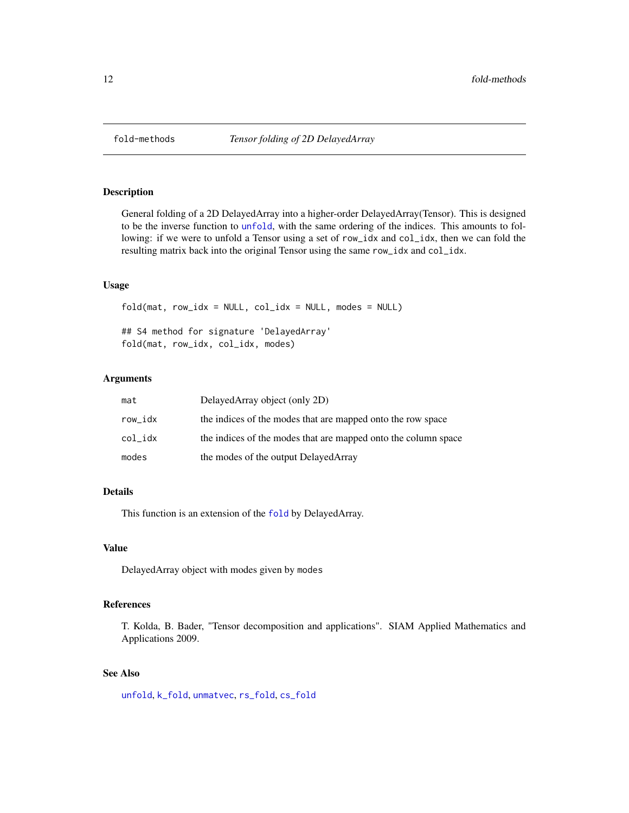<span id="page-11-1"></span><span id="page-11-0"></span>

General folding of a 2D DelayedArray into a higher-order DelayedArray(Tensor). This is designed to be the inverse function to [unfold](#page-38-1), with the same ordering of the indices. This amounts to following: if we were to unfold a Tensor using a set of row\_idx and col\_idx, then we can fold the resulting matrix back into the original Tensor using the same row\_idx and col\_idx.

#### Usage

 $fold(mat, row\_idx = NULL, col_idx = NULL, modes = NULL)$ ## S4 method for signature 'DelayedArray' fold(mat, row\_idx, col\_idx, modes)

#### Arguments

| mat     | DelayedArray object (only 2D)                                  |
|---------|----------------------------------------------------------------|
| row_idx | the indices of the modes that are mapped onto the row space    |
| col idx | the indices of the modes that are mapped onto the column space |
| modes   | the modes of the output Delayed Array                          |

## Details

This function is an extension of the [fold](#page-11-1) by DelayedArray.

## Value

DelayedArray object with modes given by modes

## References

T. Kolda, B. Bader, "Tensor decomposition and applications". SIAM Applied Mathematics and Applications 2009.

## See Also

[unfold](#page-38-1), [k\\_fold](#page-21-1), [unmatvec](#page-39-1), [rs\\_fold](#page-32-1), [cs\\_fold](#page-5-1)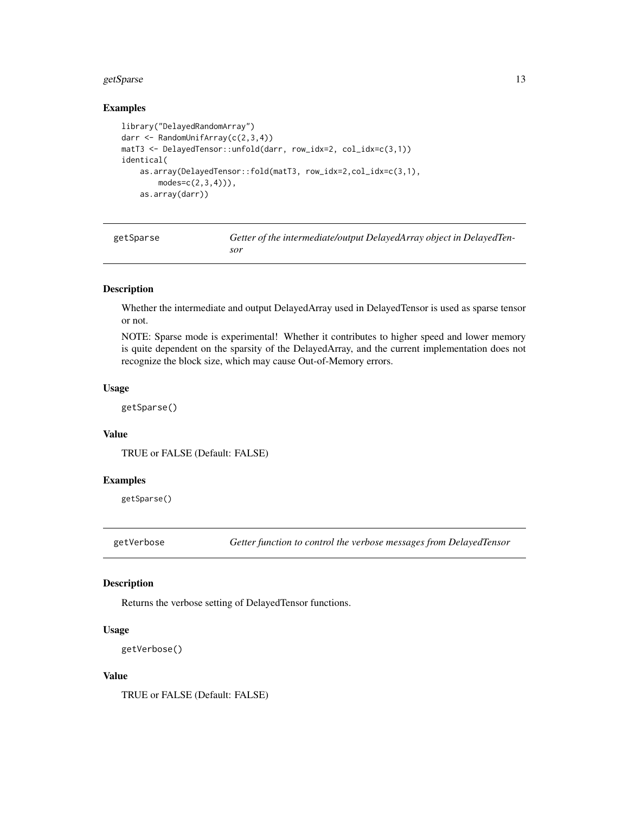#### <span id="page-12-0"></span>getSparse 13

## Examples

```
library("DelayedRandomArray")
darr <- RandomUnifArray(c(2,3,4))
matT3 <- DelayedTensor::unfold(darr, row_idx=2, col_idx=c(3,1))
identical(
    as.array(DelayedTensor::fold(matT3, row_idx=2,col_idx=c(3,1),
        modes = c(2,3,4)),
    as.array(darr))
```

| getSparse | Getter of the intermediate/output DelayedArray object in DelayedTen- |
|-----------|----------------------------------------------------------------------|
|           | sor                                                                  |

## Description

Whether the intermediate and output DelayedArray used in DelayedTensor is used as sparse tensor or not.

NOTE: Sparse mode is experimental! Whether it contributes to higher speed and lower memory is quite dependent on the sparsity of the DelayedArray, and the current implementation does not recognize the block size, which may cause Out-of-Memory errors.

#### Usage

getSparse()

## Value

TRUE or FALSE (Default: FALSE)

## Examples

getSparse()

getVerbose *Getter function to control the verbose messages from DelayedTensor*

## Description

Returns the verbose setting of DelayedTensor functions.

#### Usage

```
getVerbose()
```
## Value

TRUE or FALSE (Default: FALSE)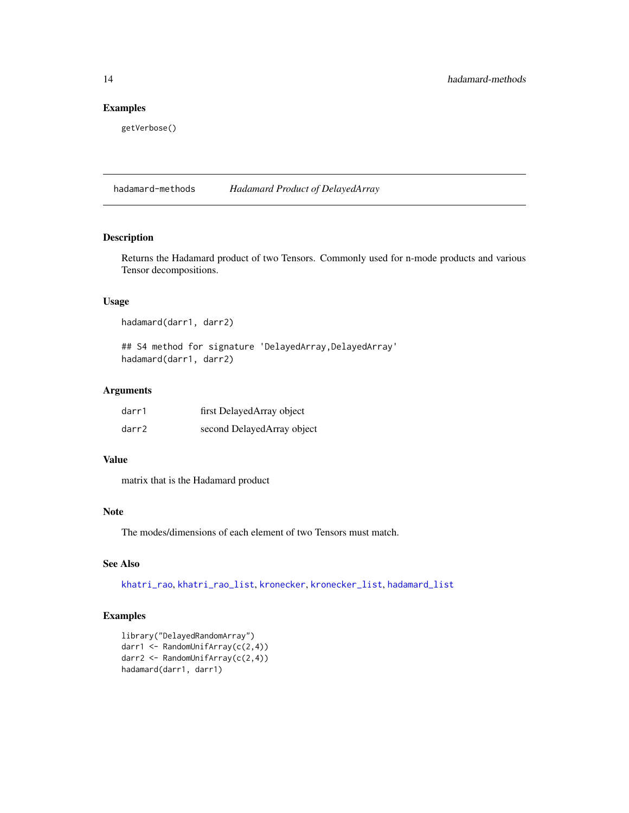## <span id="page-13-0"></span>Examples

getVerbose()

hadamard-methods *Hadamard Product of DelayedArray*

## <span id="page-13-1"></span>Description

Returns the Hadamard product of two Tensors. Commonly used for n-mode products and various Tensor decompositions.

## Usage

hadamard(darr1, darr2)

## S4 method for signature 'DelayedArray, DelayedArray' hadamard(darr1, darr2)

## Arguments

| darr1 | first DelayedArray object  |
|-------|----------------------------|
| darr2 | second DelayedArray object |

#### Value

matrix that is the Hadamard product

#### Note

The modes/dimensions of each element of two Tensors must match.

### See Also

[khatri\\_rao](#page-17-2), [khatri\\_rao\\_list](#page-18-1), [kronecker](#page-19-1), [kronecker\\_list](#page-20-1), [hadamard\\_list](#page-14-1)

## Examples

library("DelayedRandomArray") darr1 <- RandomUnifArray(c(2,4)) darr2 <- RandomUnifArray(c(2,4)) hadamard(darr1, darr1)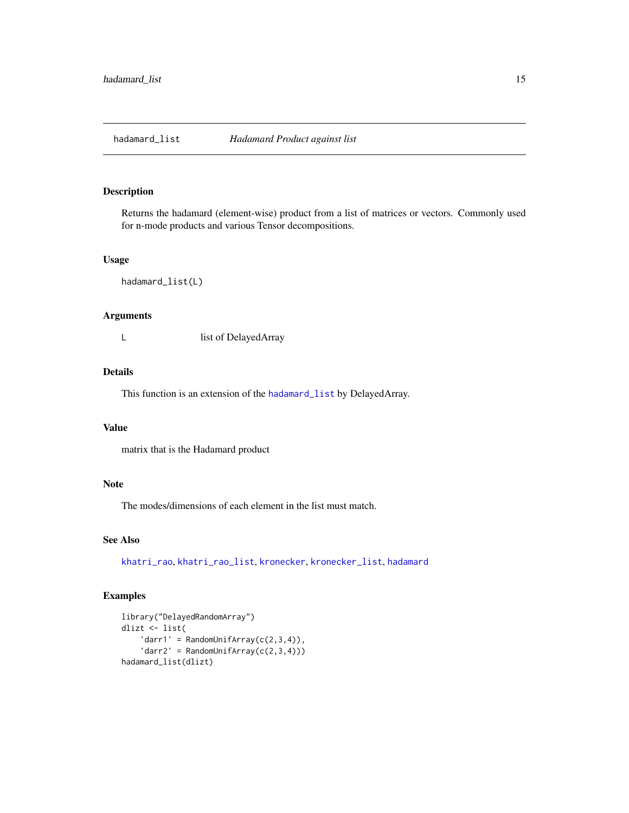<span id="page-14-1"></span><span id="page-14-0"></span>

Returns the hadamard (element-wise) product from a list of matrices or vectors. Commonly used for n-mode products and various Tensor decompositions.

#### Usage

hadamard\_list(L)

## Arguments

L list of DelayedArray

## Details

This function is an extension of the [hadamard\\_list](#page-14-1) by DelayedArray.

#### Value

matrix that is the Hadamard product

## Note

The modes/dimensions of each element in the list must match.

## See Also

[khatri\\_rao](#page-17-2), [khatri\\_rao\\_list](#page-18-1), [kronecker](#page-19-1), [kronecker\\_list](#page-20-1), [hadamard](#page-13-1)

```
library("DelayedRandomArray")
dlizt <- list(
    'darr1' = RandomUnitArray(c(2,3,4)),
    'darr2' = RandomUniform(C(2,3,4)))hadamard_list(dlizt)
```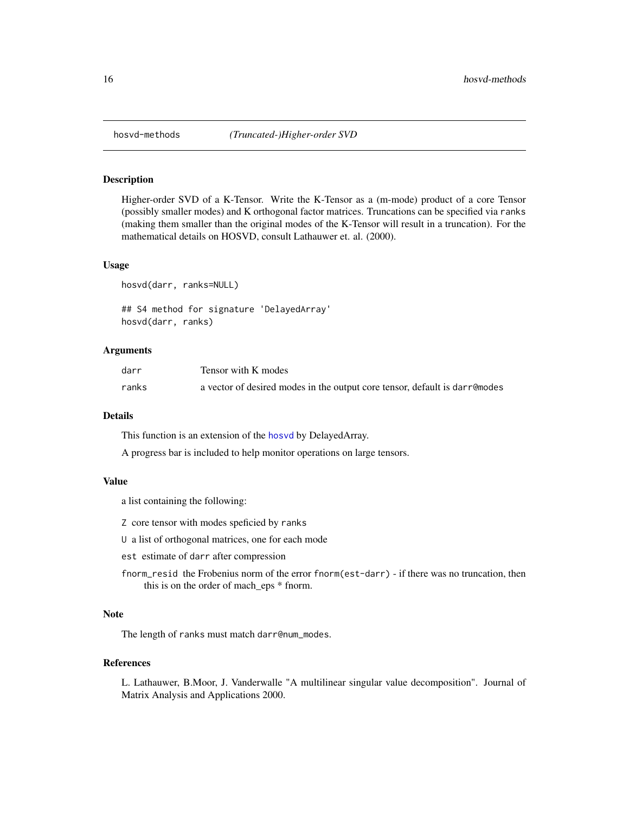<span id="page-15-1"></span><span id="page-15-0"></span>

Higher-order SVD of a K-Tensor. Write the K-Tensor as a (m-mode) product of a core Tensor (possibly smaller modes) and K orthogonal factor matrices. Truncations can be specified via ranks (making them smaller than the original modes of the K-Tensor will result in a truncation). For the mathematical details on HOSVD, consult Lathauwer et. al. (2000).

#### Usage

```
hosvd(darr, ranks=NULL)
```
## S4 method for signature 'DelayedArray' hosvd(darr, ranks)

## Arguments

| darr  | Tensor with K modes                                                        |
|-------|----------------------------------------------------------------------------|
| ranks | a vector of desired modes in the output core tensor, default is darremodes |

#### Details

This function is an extension of the [hosvd](#page-15-1) by DelayedArray.

A progress bar is included to help monitor operations on large tensors.

#### Value

a list containing the following:

Z core tensor with modes speficied by ranks

- U a list of orthogonal matrices, one for each mode
- est estimate of darr after compression
- fnorm\_resid the Frobenius norm of the error fnorm(est-darr) if there was no truncation, then this is on the order of mach\_eps \* fnorm.

## Note

The length of ranks must match darr@num\_modes.

#### References

L. Lathauwer, B.Moor, J. Vanderwalle "A multilinear singular value decomposition". Journal of Matrix Analysis and Applications 2000.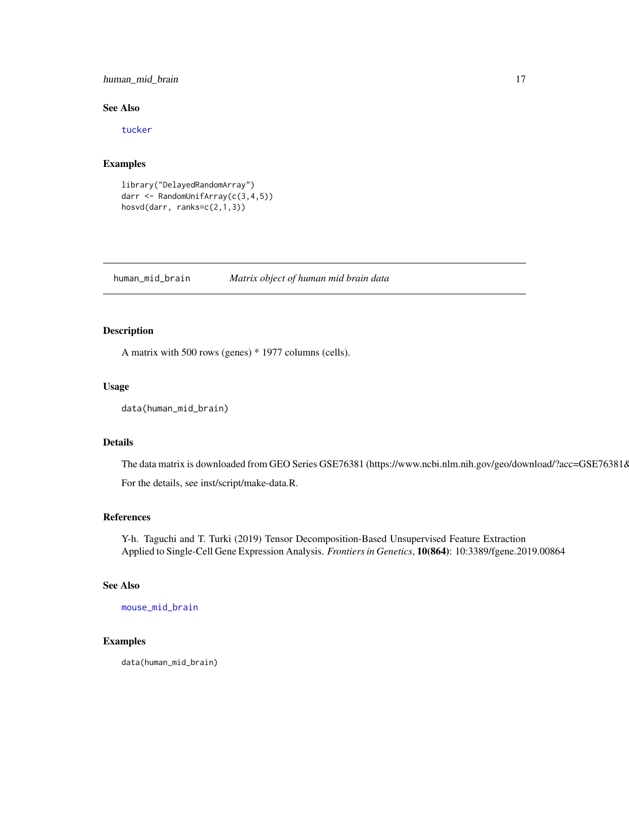## <span id="page-16-0"></span>human\_mid\_brain 17

## See Also

[tucker](#page-37-1)

## Examples

```
library("DelayedRandomArray")
darr <- RandomUnifArray(c(3,4,5))
hosvd(darr, ranks=c(2,1,3))
```
human\_mid\_brain *Matrix object of human mid brain data*

#### Description

A matrix with 500 rows (genes) \* 1977 columns (cells).

#### Usage

```
data(human_mid_brain)
```
#### Details

The data matrix is downloaded from GEO Series GSE76381 (https://www.ncbi.nlm.nih.gov/geo/download/?acc=GSE76381&

For the details, see inst/script/make-data.R.

#### References

Y-h. Taguchi and T. Turki (2019) Tensor Decomposition-Based Unsupervised Feature Extraction Applied to Single-Cell Gene Expression Analysis. *Frontiers in Genetics*, 10(864): 10:3389/fgene.2019.00864

#### See Also

[mouse\\_mid\\_brain](#page-27-1)

#### Examples

data(human\_mid\_brain)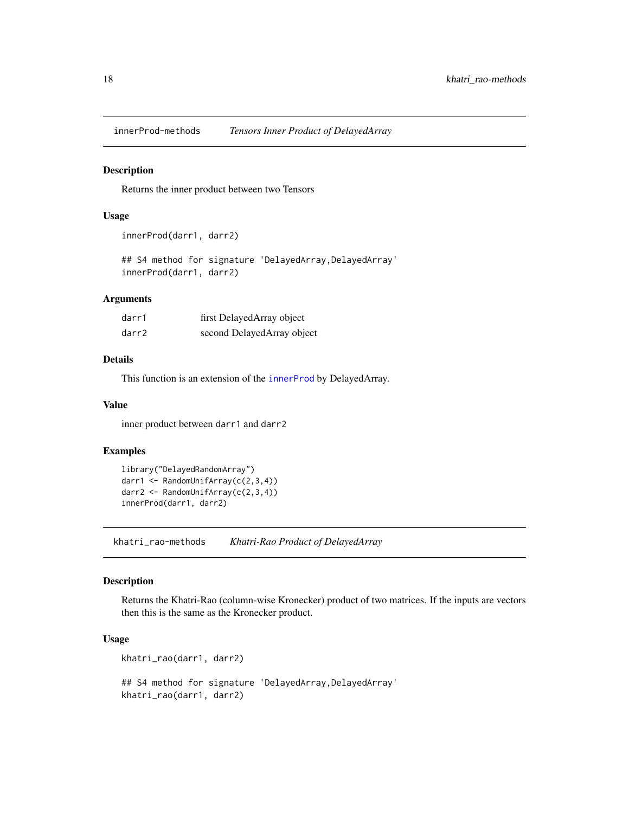<span id="page-17-0"></span>innerProd-methods *Tensors Inner Product of DelayedArray*

#### <span id="page-17-1"></span>Description

Returns the inner product between two Tensors

#### Usage

```
innerProd(darr1, darr2)
```
## S4 method for signature 'DelayedArray, DelayedArray' innerProd(darr1, darr2)

## Arguments

| darr1 | first DelayedArray object  |
|-------|----------------------------|
| darr2 | second DelayedArray object |

## Details

This function is an extension of the [innerProd](#page-17-1) by DelayedArray.

## Value

inner product between darr1 and darr2

## Examples

```
library("DelayedRandomArray")
darr1 <- RandomUnifArray(c(2,3,4))
darr2 <- RandomUnifArray(c(2,3,4))
innerProd(darr1, darr2)
```
khatri\_rao-methods *Khatri-Rao Product of DelayedArray*

## <span id="page-17-2"></span>Description

Returns the Khatri-Rao (column-wise Kronecker) product of two matrices. If the inputs are vectors then this is the same as the Kronecker product.

#### Usage

```
khatri_rao(darr1, darr2)
## S4 method for signature 'DelayedArray, DelayedArray'
khatri_rao(darr1, darr2)
```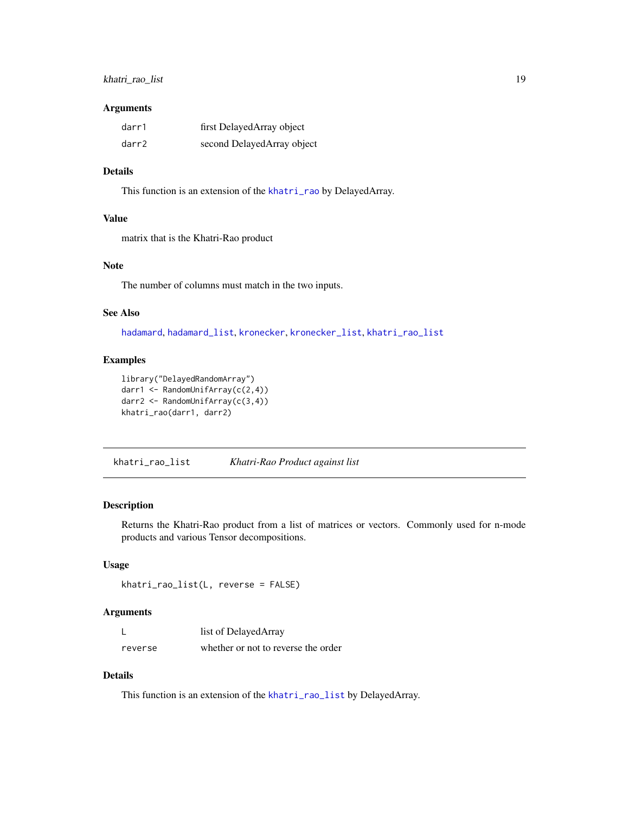## <span id="page-18-0"></span>khatri\_rao\_list 19

#### Arguments

| darr1 | first DelayedArray object  |
|-------|----------------------------|
| darr2 | second DelayedArray object |

## Details

This function is an extension of the [khatri\\_rao](#page-17-2) by DelayedArray.

#### Value

matrix that is the Khatri-Rao product

## Note

The number of columns must match in the two inputs.

## See Also

[hadamard](#page-13-1), [hadamard\\_list](#page-14-1), [kronecker](#page-19-1), [kronecker\\_list](#page-20-1), [khatri\\_rao\\_list](#page-18-1)

#### Examples

```
library("DelayedRandomArray")
darr1 <- RandomUnifArray(c(2,4))
darr2 <- RandomUnifArray(c(3,4))
khatri_rao(darr1, darr2)
```
<span id="page-18-1"></span>khatri\_rao\_list *Khatri-Rao Product against list*

## Description

Returns the Khatri-Rao product from a list of matrices or vectors. Commonly used for n-mode products and various Tensor decompositions.

## Usage

```
khatri_rao_list(L, reverse = FALSE)
```
#### Arguments

|         | list of DelayedArray                |
|---------|-------------------------------------|
| reverse | whether or not to reverse the order |

## Details

This function is an extension of the [khatri\\_rao\\_list](#page-18-1) by DelayedArray.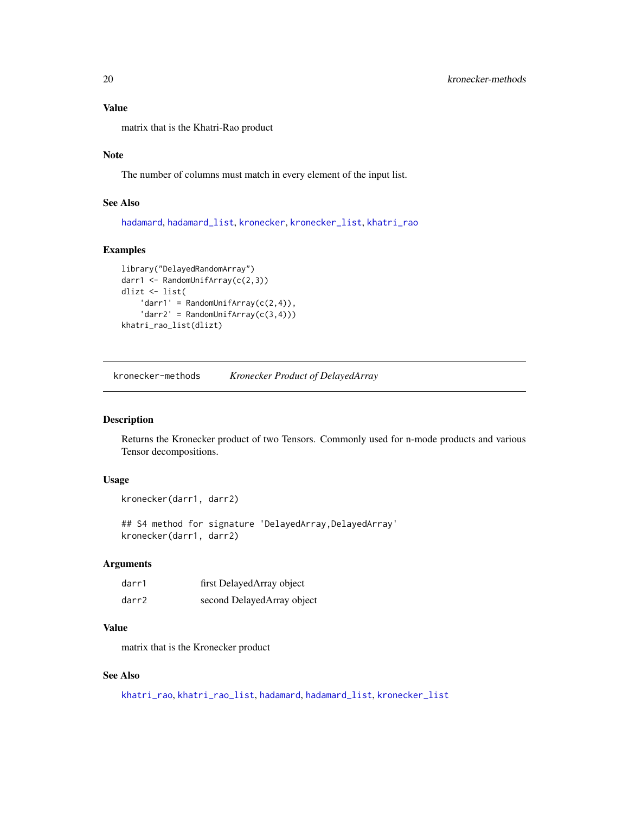## <span id="page-19-0"></span>Value

matrix that is the Khatri-Rao product

## Note

The number of columns must match in every element of the input list.

## See Also

[hadamard](#page-13-1), [hadamard\\_list](#page-14-1), [kronecker](#page-19-1), [kronecker\\_list](#page-20-1), [khatri\\_rao](#page-17-2)

## Examples

```
library("DelayedRandomArray")
darr1 <- RandomUnifArray(c(2,3))
dlizt <- list(
    'darr1' = RandomUniform(C(2, 4)),
    'darr2' = RandomUniform(C(3, 4)))khatri_rao_list(dlizt)
```
kronecker-methods *Kronecker Product of DelayedArray*

#### <span id="page-19-1"></span>Description

Returns the Kronecker product of two Tensors. Commonly used for n-mode products and various Tensor decompositions.

## Usage

```
kronecker(darr1, darr2)
```
## S4 method for signature 'DelayedArray, DelayedArray' kronecker(darr1, darr2)

## Arguments

| darr1 | first DelayedArray object  |
|-------|----------------------------|
| darr2 | second DelayedArray object |

## Value

matrix that is the Kronecker product

## See Also

[khatri\\_rao](#page-17-2), [khatri\\_rao\\_list](#page-18-1), [hadamard](#page-13-1), [hadamard\\_list](#page-14-1), [kronecker\\_list](#page-20-1)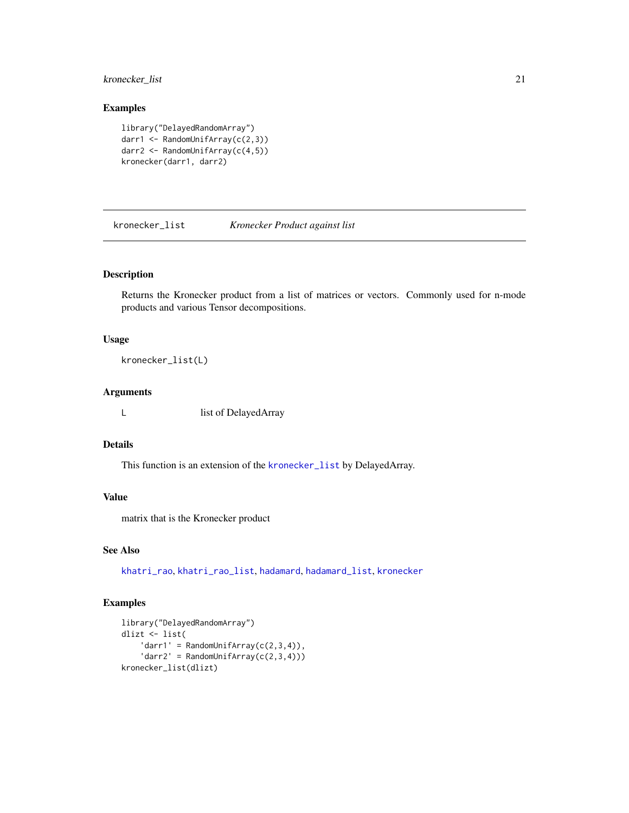## <span id="page-20-0"></span>kronecker\_list 21

## Examples

```
library("DelayedRandomArray")
darr1 <- RandomUnifArray(c(2,3))
darr2 <- RandomUnifArray(c(4,5))
kronecker(darr1, darr2)
```
<span id="page-20-1"></span>kronecker\_list *Kronecker Product against list*

## Description

Returns the Kronecker product from a list of matrices or vectors. Commonly used for n-mode products and various Tensor decompositions.

#### Usage

```
kronecker_list(L)
```
## Arguments

L list of DelayedArray

#### Details

This function is an extension of the [kronecker\\_list](#page-20-1) by DelayedArray.

## Value

matrix that is the Kronecker product

## See Also

[khatri\\_rao](#page-17-2), [khatri\\_rao\\_list](#page-18-1), [hadamard](#page-13-1), [hadamard\\_list](#page-14-1), [kronecker](#page-19-1)

```
library("DelayedRandomArray")
dlizt <- list(
    'darr1' = RandomUniform(C(2,3,4)),
    'darr2' = RandomUniform(c(2,3,4)))kronecker_list(dlizt)
```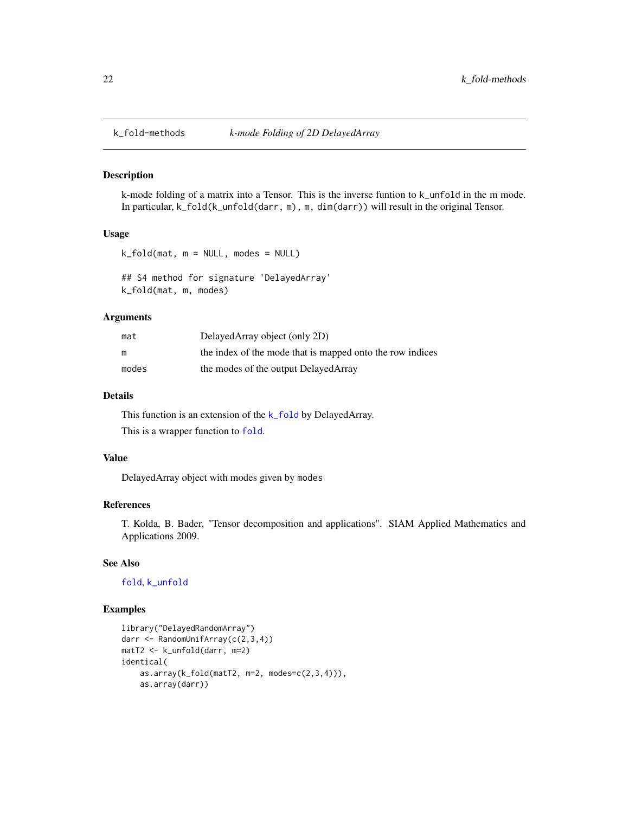<span id="page-21-1"></span><span id="page-21-0"></span>

k-mode folding of a matrix into a Tensor. This is the inverse funtion to k\_unfold in the m mode. In particular, k\_fold(k\_unfold(darr, m), m, dim(darr)) will result in the original Tensor.

#### Usage

k\_fold(mat, m = NULL, modes = NULL)

## S4 method for signature 'DelayedArray' k\_fold(mat, m, modes)

#### Arguments

| mat   | DelayedArray object (only 2D)                             |
|-------|-----------------------------------------------------------|
| m     | the index of the mode that is mapped onto the row indices |
| modes | the modes of the output DelayedArray                      |

## Details

This function is an extension of the [k\\_fold](#page-21-1) by DelayedArray. This is a wrapper function to [fold](#page-11-1).

#### Value

DelayedArray object with modes given by modes

## References

T. Kolda, B. Bader, "Tensor decomposition and applications". SIAM Applied Mathematics and Applications 2009.

#### See Also

[fold](#page-11-1), [k\\_unfold](#page-22-1)

```
library("DelayedRandomArray")
darr <- RandomUnifArray(c(2,3,4))
matT2 <- k_unfold(darr, m=2)
identical(
    as.array(k_fold(matT2, m=2, modes=c(2,3,4))),
   as.array(darr))
```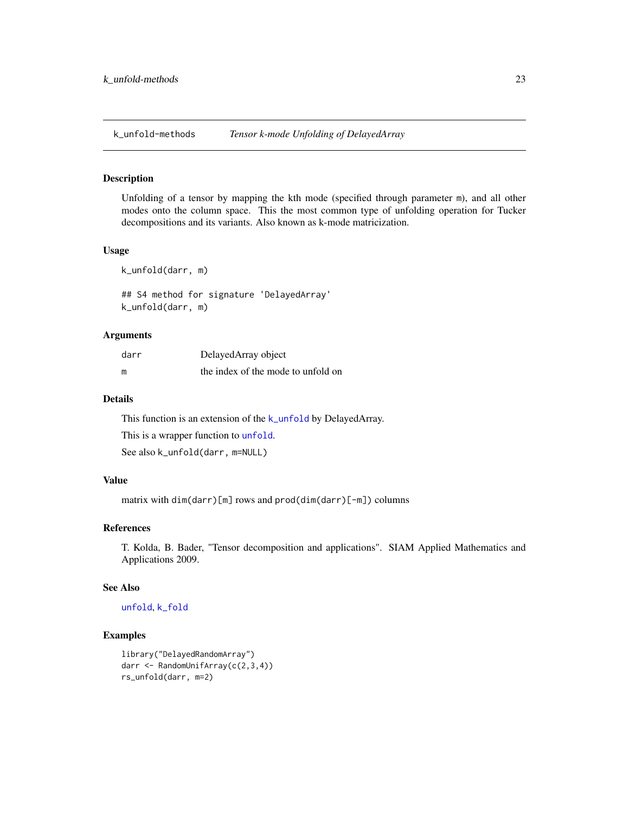<span id="page-22-1"></span><span id="page-22-0"></span>

Unfolding of a tensor by mapping the kth mode (specified through parameter m), and all other modes onto the column space. This the most common type of unfolding operation for Tucker decompositions and its variants. Also known as k-mode matricization.

#### Usage

k\_unfold(darr, m)

## S4 method for signature 'DelayedArray' k\_unfold(darr, m)

#### Arguments

| darr | DelayedArray object                |
|------|------------------------------------|
| m    | the index of the mode to unfold on |

## Details

This function is an extension of the [k\\_unfold](#page-22-1) by DelayedArray.

This is a wrapper function to [unfold](#page-38-1).

See also k\_unfold(darr, m=NULL)

## Value

matrix with dim(darr)[m] rows and prod(dim(darr)[-m]) columns

#### References

T. Kolda, B. Bader, "Tensor decomposition and applications". SIAM Applied Mathematics and Applications 2009.

#### See Also

#### [unfold](#page-38-1), [k\\_fold](#page-21-1)

```
library("DelayedRandomArray")
darr <- RandomUnifArray(c(2,3,4))
rs_unfold(darr, m=2)
```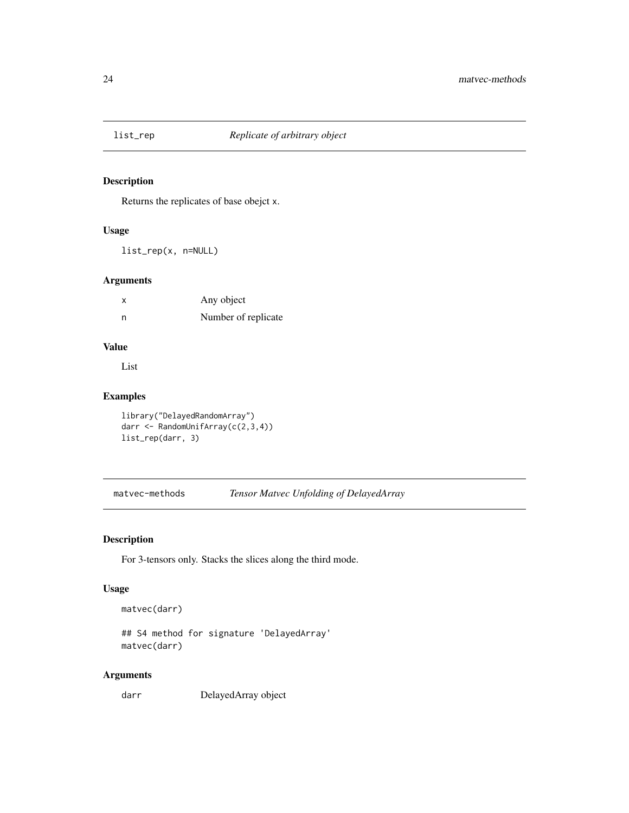<span id="page-23-2"></span><span id="page-23-0"></span>

Returns the replicates of base obejct x.

## Usage

list\_rep(x, n=NULL)

## Arguments

| x | Any object          |
|---|---------------------|
| n | Number of replicate |

## Value

List

## Examples

```
library("DelayedRandomArray")
darr <- RandomUnifArray(c(2,3,4))
list_rep(darr, 3)
```
<span id="page-23-3"></span>matvec-methods *Tensor Matvec Unfolding of DelayedArray*

## <span id="page-23-1"></span>Description

For 3-tensors only. Stacks the slices along the third mode.

#### Usage

matvec(darr)

```
## S4 method for signature 'DelayedArray'
matvec(darr)
```
## Arguments

darr DelayedArray object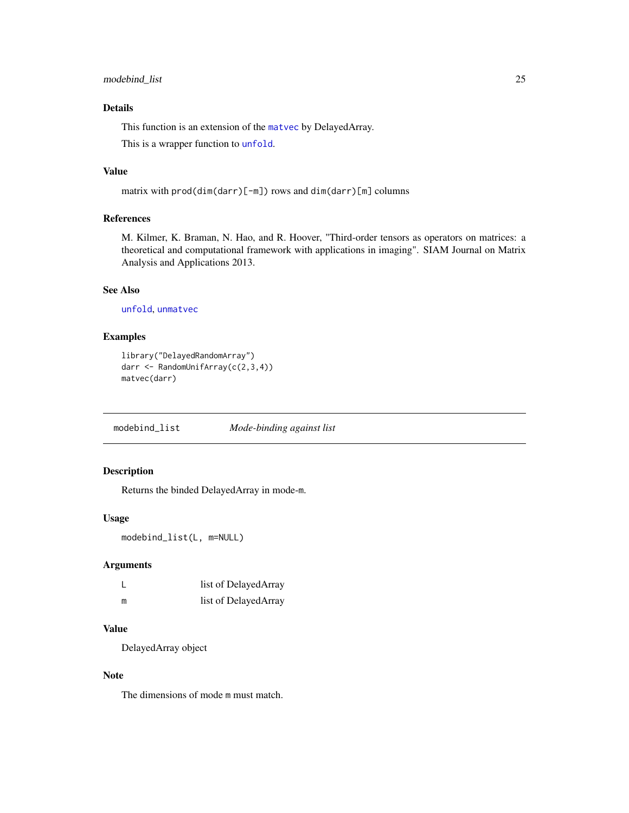## <span id="page-24-0"></span>modebind\_list 25

## Details

This function is an extension of the [matvec](#page-23-1) by DelayedArray.

This is a wrapper function to [unfold](#page-38-1).

#### Value

```
matrix with prod(dim(darr)[-m]) rows and dim(darr)[m] columns
```
## References

M. Kilmer, K. Braman, N. Hao, and R. Hoover, "Third-order tensors as operators on matrices: a theoretical and computational framework with applications in imaging". SIAM Journal on Matrix Analysis and Applications 2013.

#### See Also

[unfold](#page-38-1), [unmatvec](#page-39-1)

#### Examples

```
library("DelayedRandomArray")
darr <- RandomUnifArray(c(2,3,4))
matvec(darr)
```
<span id="page-24-1"></span>modebind\_list *Mode-binding against list*

## Description

Returns the binded DelayedArray in mode-m.

#### Usage

```
modebind_list(L, m=NULL)
```
## Arguments

|   | list of DelayedArray |
|---|----------------------|
| m | list of DelayedArray |

#### Value

DelayedArray object

## Note

The dimensions of mode m must match.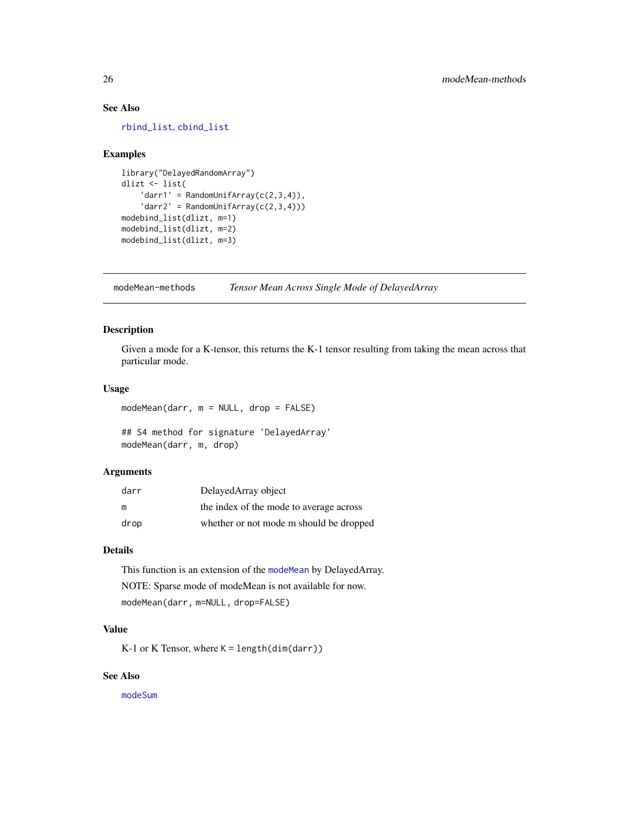## <span id="page-25-0"></span>See Also

[rbind\\_list](#page-31-1), [cbind\\_list](#page-2-1)

#### Examples

```
library("DelayedRandomArray")
dlizt <- list(
    'darr1' = RandomUniform(C(2,3,4)),
    ' \text{darr2'} = \text{RandomUniform}(c(2,3,4)))modebind_list(dlizt, m=1)
modebind_list(dlizt, m=2)
modebind_list(dlizt, m=3)
```
modeMean-methods *Tensor Mean Across Single Mode of DelayedArray*

#### <span id="page-25-1"></span>Description

Given a mode for a K-tensor, this returns the K-1 tensor resulting from taking the mean across that particular mode.

## Usage

modeMean(darr, m = NULL, drop = FALSE)

## S4 method for signature 'DelayedArray' modeMean(darr, m, drop)

#### Arguments

| darr | DelayedArray object                     |
|------|-----------------------------------------|
| m    | the index of the mode to average across |
| drop | whether or not mode m should be dropped |

## Details

This function is an extension of the [modeMean](#page-25-1) by DelayedArray. NOTE: Sparse mode of modeMean is not available for now. modeMean(darr, m=NULL, drop=FALSE)

## Value

K-1 or K Tensor, where K = length(dim(darr))

## See Also

[modeSum](#page-26-1)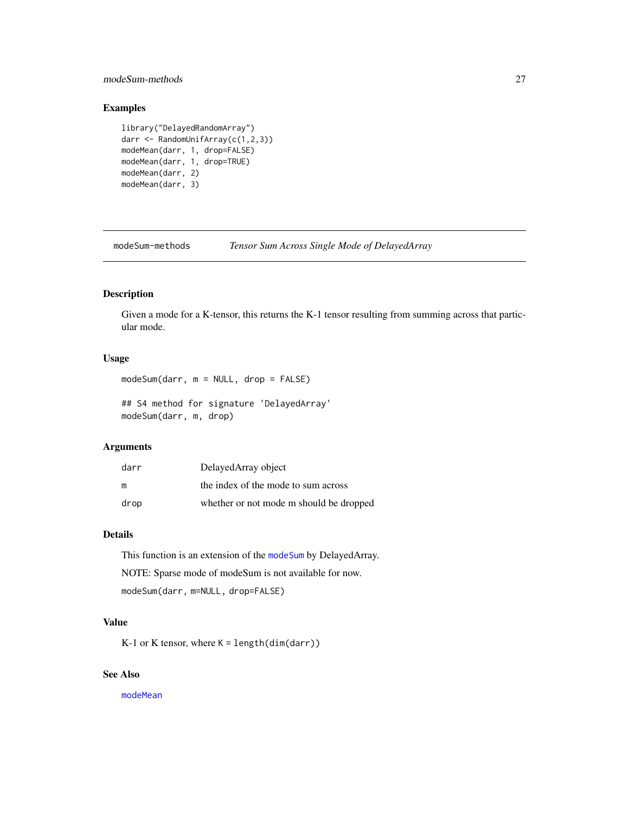## <span id="page-26-0"></span>modeSum-methods 27

## Examples

```
library("DelayedRandomArray")
darr <- RandomUnifArray(c(1,2,3))
modeMean(darr, 1, drop=FALSE)
modeMean(darr, 1, drop=TRUE)
modeMean(darr, 2)
modeMean(darr, 3)
```
modeSum-methods *Tensor Sum Across Single Mode of DelayedArray*

## <span id="page-26-1"></span>Description

Given a mode for a K-tensor, this returns the K-1 tensor resulting from summing across that particular mode.

## Usage

modeSum(darr, m = NULL, drop = FALSE)

## S4 method for signature 'DelayedArray' modeSum(darr, m, drop)

## Arguments

| darr | DelayedArray object                     |
|------|-----------------------------------------|
| m    | the index of the mode to sum across     |
| drop | whether or not mode m should be dropped |

## Details

This function is an extension of the [modeSum](#page-26-1) by DelayedArray. NOTE: Sparse mode of modeSum is not available for now. modeSum(darr, m=NULL, drop=FALSE)

#### Value

K-1 or K tensor, where K = length(dim(darr))

## See Also

[modeMean](#page-25-1)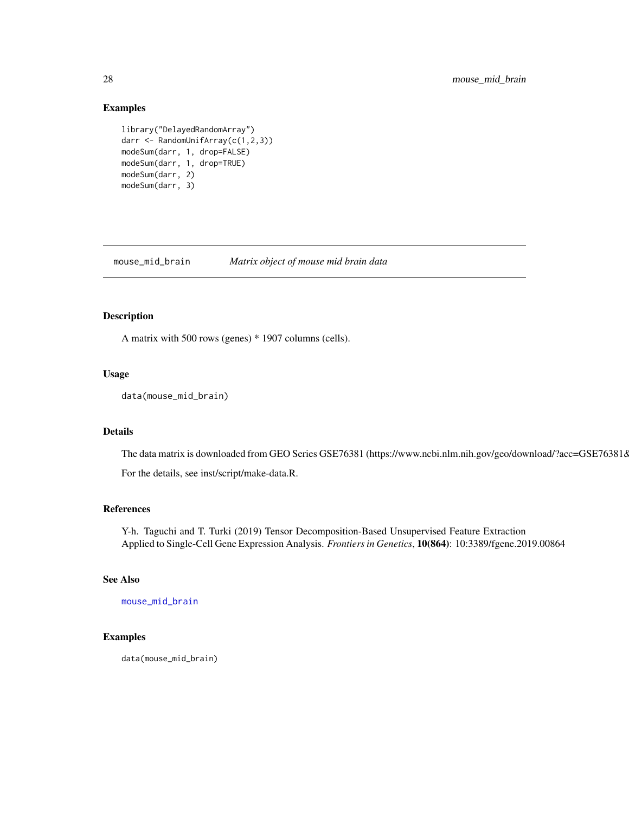#### Examples

```
library("DelayedRandomArray")
darr <- RandomUnifArray(c(1,2,3))
modeSum(darr, 1, drop=FALSE)
modeSum(darr, 1, drop=TRUE)
modeSum(darr, 2)
modeSum(darr, 3)
```
<span id="page-27-1"></span>mouse\_mid\_brain *Matrix object of mouse mid brain data*

## Description

A matrix with 500 rows (genes) \* 1907 columns (cells).

#### Usage

```
data(mouse_mid_brain)
```
## Details

The data matrix is downloaded from GEO Series GSE76381 (https://www.ncbi.nlm.nih.gov/geo/download/?acc=GSE763818 For the details, see inst/script/make-data.R.

#### References

Y-h. Taguchi and T. Turki (2019) Tensor Decomposition-Based Unsupervised Feature Extraction Applied to Single-Cell Gene Expression Analysis. *Frontiers in Genetics*, 10(864): 10:3389/fgene.2019.00864

#### See Also

[mouse\\_mid\\_brain](#page-27-1)

## Examples

data(mouse\_mid\_brain)

<span id="page-27-0"></span>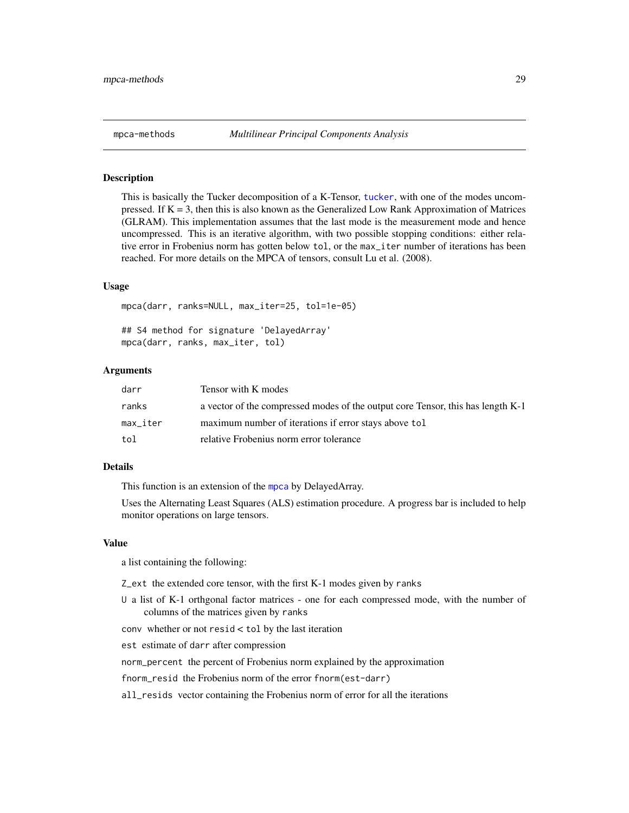<span id="page-28-1"></span><span id="page-28-0"></span>This is basically the Tucker decomposition of a K-Tensor, [tucker](#page-37-1), with one of the modes uncompressed. If  $K = 3$ , then this is also known as the Generalized Low Rank Approximation of Matrices (GLRAM). This implementation assumes that the last mode is the measurement mode and hence uncompressed. This is an iterative algorithm, with two possible stopping conditions: either relative error in Frobenius norm has gotten below tol, or the max\_iter number of iterations has been reached. For more details on the MPCA of tensors, consult Lu et al. (2008).

#### Usage

mpca(darr, ranks=NULL, max\_iter=25, tol=1e-05) ## S4 method for signature 'DelayedArray' mpca(darr, ranks, max\_iter, tol)

# Arguments

| darr     | Tensor with K modes                                                             |
|----------|---------------------------------------------------------------------------------|
| ranks    | a vector of the compressed modes of the output core Tensor, this has length K-1 |
| max iter | maximum number of iterations if error stays above tol                           |
| tol      | relative Frobenius norm error tolerance                                         |

#### Details

This function is an extension of the [mpca](#page-28-1) by DelayedArray.

Uses the Alternating Least Squares (ALS) estimation procedure. A progress bar is included to help monitor operations on large tensors.

#### Value

a list containing the following:

Z\_ext the extended core tensor, with the first K-1 modes given by ranks

U a list of K-1 orthgonal factor matrices - one for each compressed mode, with the number of columns of the matrices given by ranks

conv whether or not resid < tol by the last iteration

est estimate of darr after compression

norm\_percent the percent of Frobenius norm explained by the approximation

fnorm\_resid the Frobenius norm of the error fnorm(est-darr)

all\_resids vector containing the Frobenius norm of error for all the iterations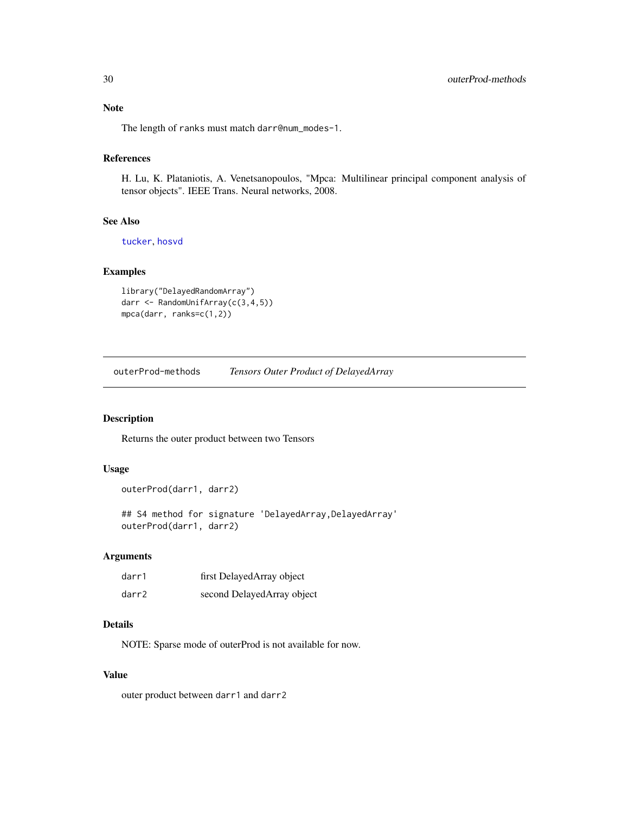<span id="page-29-0"></span>Note

The length of ranks must match darr@num\_modes-1.

## References

H. Lu, K. Plataniotis, A. Venetsanopoulos, "Mpca: Multilinear principal component analysis of tensor objects". IEEE Trans. Neural networks, 2008.

## See Also

[tucker](#page-37-1), [hosvd](#page-15-1)

#### Examples

```
library("DelayedRandomArray")
darr <- RandomUnifArray(c(3,4,5))
mpca(darr, ranks=c(1,2))
```
outerProd-methods *Tensors Outer Product of DelayedArray*

## Description

Returns the outer product between two Tensors

## Usage

```
outerProd(darr1, darr2)
```
## S4 method for signature 'DelayedArray, DelayedArray' outerProd(darr1, darr2)

## Arguments

| darr1 | first DelayedArray object  |
|-------|----------------------------|
| darr2 | second DelayedArray object |

#### Details

NOTE: Sparse mode of outerProd is not available for now.

#### Value

outer product between darr1 and darr2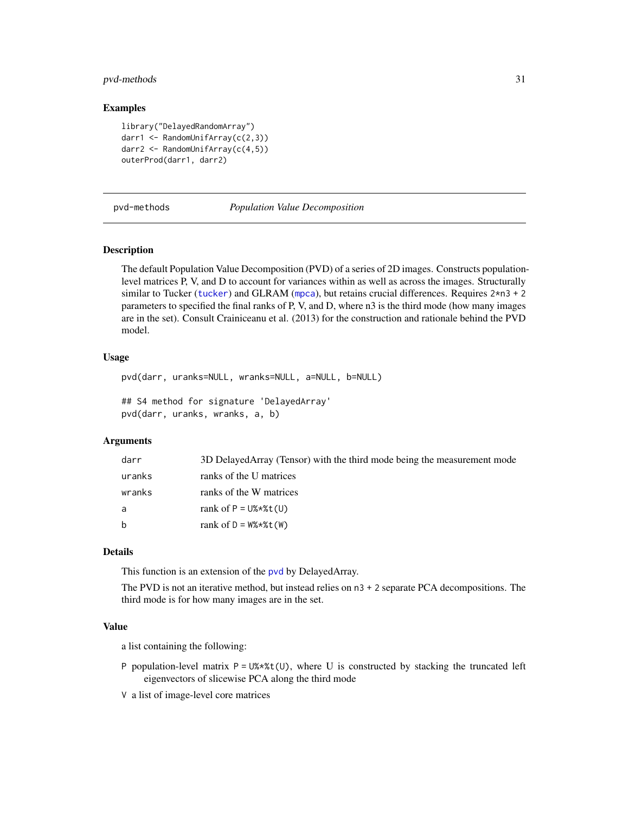## <span id="page-30-0"></span>pvd-methods 31

#### Examples

```
library("DelayedRandomArray")
darr1 <- RandomUnifArray(c(2,3))
darr2 <- RandomUnifArray(c(4,5))
outerProd(darr1, darr2)
```
pvd-methods *Population Value Decomposition*

#### <span id="page-30-1"></span>Description

The default Population Value Decomposition (PVD) of a series of 2D images. Constructs populationlevel matrices P, V, and D to account for variances within as well as across the images. Structurally similar to Tucker ([tucker](#page-37-1)) and GLRAM ([mpca](#page-28-1)), but retains crucial differences. Requires  $2*n3 + 2$ parameters to specified the final ranks of P, V, and D, where n3 is the third mode (how many images are in the set). Consult Crainiceanu et al. (2013) for the construction and rationale behind the PVD model.

#### Usage

```
pvd(darr, uranks=NULL, wranks=NULL, a=NULL, b=NULL)
## S4 method for signature 'DelayedArray'
pvd(darr, uranks, wranks, a, b)
```
## Arguments

| darr   | 3D DelayedArray (Tensor) with the third mode being the measurement mode |
|--------|-------------------------------------------------------------------------|
| uranks | ranks of the U matrices                                                 |
| wranks | ranks of the W matrices                                                 |
| a      | rank of $P = U$ %*%t(U)                                                 |
| b      | rank of $D = W\$ * $X(t)$                                               |

#### Details

This function is an extension of the [pvd](#page-30-1) by DelayedArray.

The PVD is not an iterative method, but instead relies on n3 + 2 separate PCA decompositions. The third mode is for how many images are in the set.

## Value

a list containing the following:

- P population-level matrix  $P = U\$ \ast\t(U), where U is constructed by stacking the truncated left eigenvectors of slicewise PCA along the third mode
- V a list of image-level core matrices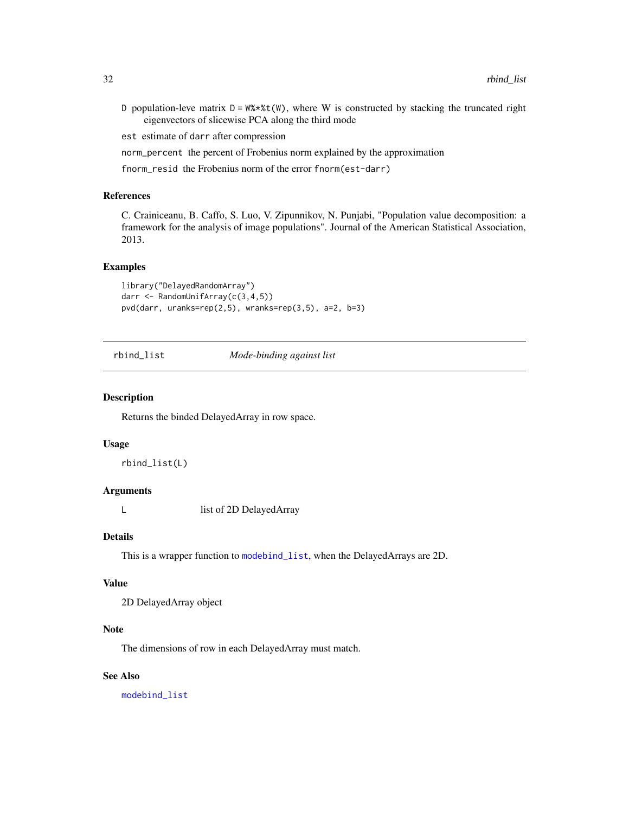<span id="page-31-0"></span>D population-leve matrix  $D = W^* * * (W)$ , where W is constructed by stacking the truncated right eigenvectors of slicewise PCA along the third mode

est estimate of darr after compression

norm\_percent the percent of Frobenius norm explained by the approximation

fnorm\_resid the Frobenius norm of the error fnorm(est-darr)

#### References

C. Crainiceanu, B. Caffo, S. Luo, V. Zipunnikov, N. Punjabi, "Population value decomposition: a framework for the analysis of image populations". Journal of the American Statistical Association, 2013.

#### Examples

```
library("DelayedRandomArray")
darr <- RandomUnifArray(c(3,4,5))
pvd(darr, uranks=rep(2,5), wranks=rep(3,5), a=2, b=3)
```
<span id="page-31-1"></span>rbind\_list *Mode-binding against list*

#### Description

Returns the binded DelayedArray in row space.

#### Usage

rbind\_list(L)

#### Arguments

L list of 2D DelayedArray

## Details

This is a wrapper function to [modebind\\_list](#page-24-1), when the DelayedArrays are 2D.

#### Value

2D DelayedArray object

## Note

The dimensions of row in each DelayedArray must match.

## See Also

[modebind\\_list](#page-24-1)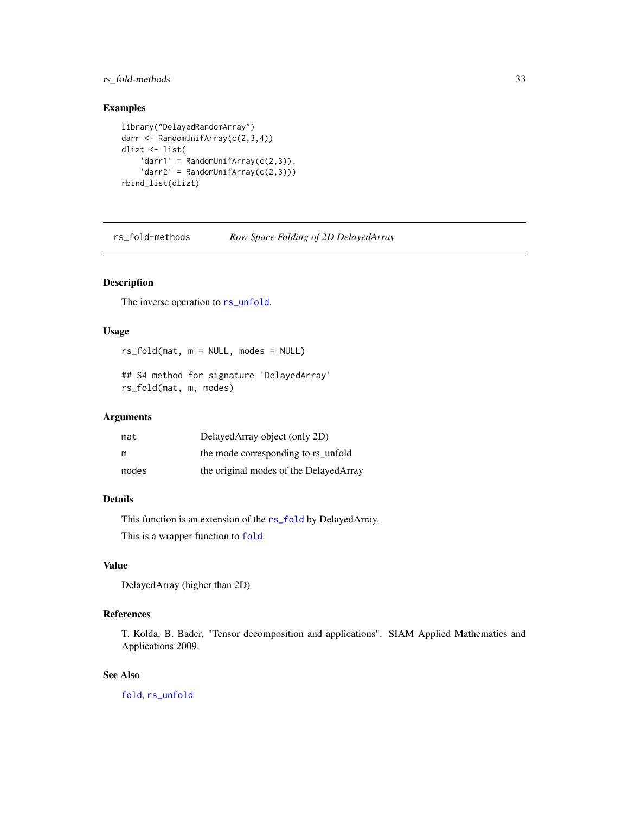## <span id="page-32-0"></span>rs\_fold-methods 33

## Examples

```
library("DelayedRandomArray")
darr <- RandomUnifArray(c(2,3,4))
dlizt <- list(
    'darr1' = RandomUnifArray(c(2,3)),
    'darr2' = RandomUniform(C(2,3)))rbind_list(dlizt)
```
rs\_fold-methods *Row Space Folding of 2D DelayedArray*

## <span id="page-32-1"></span>Description

The inverse operation to  $rs\_unfold$ .

#### Usage

rs\_fold(mat, m = NULL, modes = NULL)

## S4 method for signature 'DelayedArray' rs\_fold(mat, m, modes)

## Arguments

| mat   | DelayedArray object (only 2D)           |
|-------|-----------------------------------------|
| m     | the mode corresponding to rs unfold     |
| modes | the original modes of the Delayed Array |

## Details

This function is an extension of the [rs\\_fold](#page-32-1) by DelayedArray. This is a wrapper function to [fold](#page-11-1).

## Value

DelayedArray (higher than 2D)

## References

T. Kolda, B. Bader, "Tensor decomposition and applications". SIAM Applied Mathematics and Applications 2009.

#### See Also

[fold](#page-11-1), [rs\\_unfold](#page-33-1)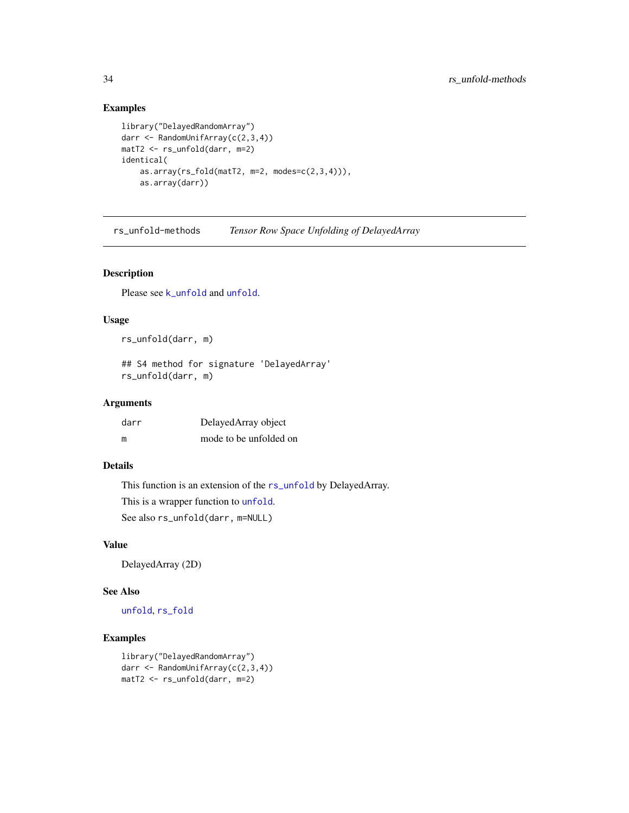## Examples

```
library("DelayedRandomArray")
darr <- RandomUnifArray(c(2,3,4))
matT2 <- rs_unfold(darr, m=2)
identical(
   as.array(rs_fold(matT2, m=2, modes=c(2,3,4))),
   as.array(darr))
```
rs\_unfold-methods *Tensor Row Space Unfolding of DelayedArray*

#### <span id="page-33-1"></span>Description

Please see [k\\_unfold](#page-22-1) and [unfold](#page-38-1).

#### Usage

rs\_unfold(darr, m)

## S4 method for signature 'DelayedArray' rs\_unfold(darr, m)

#### Arguments

| darr | DelayedArray object    |
|------|------------------------|
| m    | mode to be unfolded on |

#### Details

This function is an extension of the [rs\\_unfold](#page-33-1) by DelayedArray.

This is a wrapper function to [unfold](#page-38-1).

See also rs\_unfold(darr, m=NULL)

#### Value

DelayedArray (2D)

## See Also

[unfold](#page-38-1), [rs\\_fold](#page-32-1)

```
library("DelayedRandomArray")
darr <- RandomUnifArray(c(2,3,4))
matT2 <- rs_unfold(darr, m=2)
```
<span id="page-33-0"></span>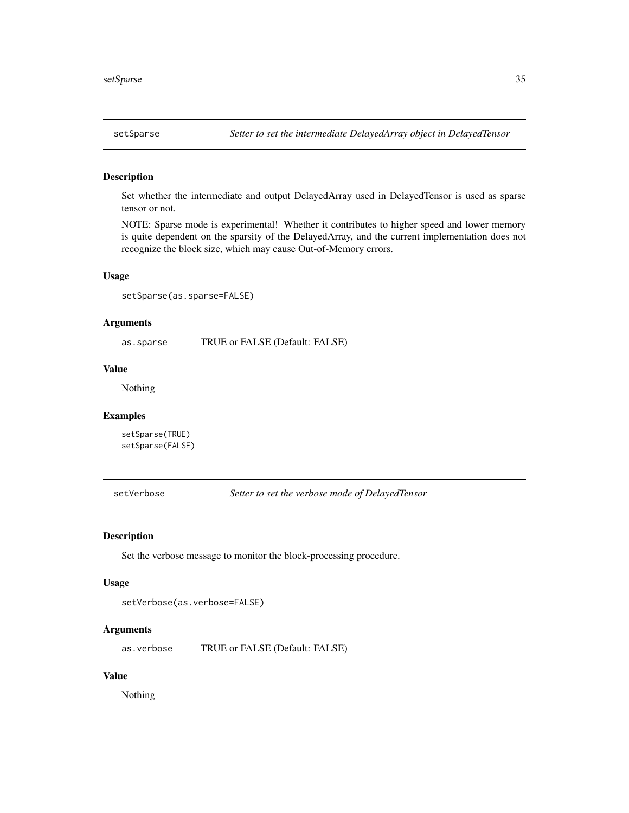<span id="page-34-0"></span>Set whether the intermediate and output DelayedArray used in DelayedTensor is used as sparse tensor or not.

NOTE: Sparse mode is experimental! Whether it contributes to higher speed and lower memory is quite dependent on the sparsity of the DelayedArray, and the current implementation does not recognize the block size, which may cause Out-of-Memory errors.

## Usage

setSparse(as.sparse=FALSE)

## Arguments

as.sparse TRUE or FALSE (Default: FALSE)

#### Value

Nothing

#### Examples

setSparse(TRUE) setSparse(FALSE)

setVerbose *Setter to set the verbose mode of DelayedTensor*

#### Description

Set the verbose message to monitor the block-processing procedure.

#### Usage

```
setVerbose(as.verbose=FALSE)
```
## Arguments

as.verbose TRUE or FALSE (Default: FALSE)

## Value

Nothing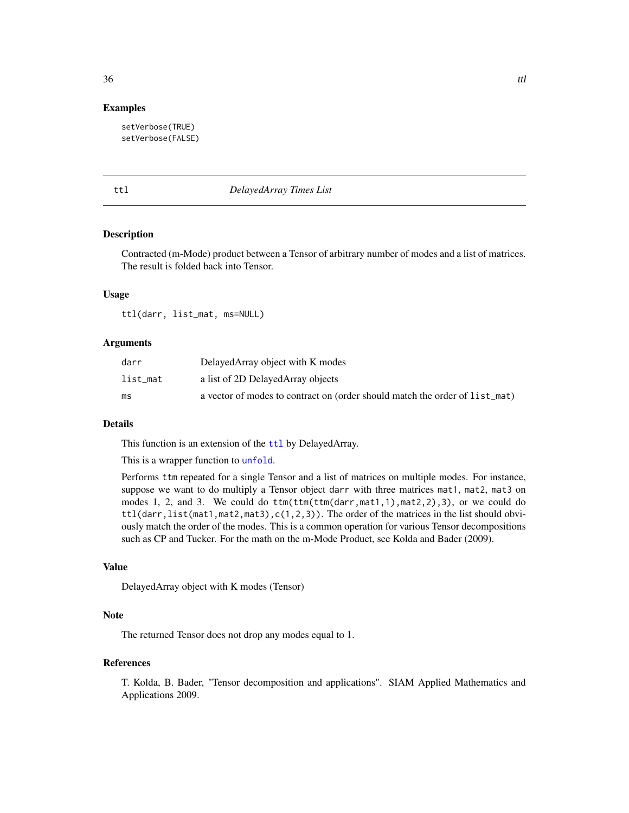#### Examples

setVerbose(TRUE) setVerbose(FALSE)

#### <span id="page-35-1"></span>ttl *DelayedArray Times List*

#### Description

Contracted (m-Mode) product between a Tensor of arbitrary number of modes and a list of matrices. The result is folded back into Tensor.

#### Usage

ttl(darr, list\_mat, ms=NULL)

#### **Arguments**

| darr     | DelayedArray object with K modes                                            |
|----------|-----------------------------------------------------------------------------|
| list_mat | a list of 2D Delayed Array objects                                          |
| ms       | a vector of modes to contract on (order should match the order of list_mat) |

#### Details

This function is an extension of the [ttl](#page-35-1) by DelayedArray.

This is a wrapper function to [unfold](#page-38-1).

Performs ttm repeated for a single Tensor and a list of matrices on multiple modes. For instance, suppose we want to do multiply a Tensor object darr with three matrices mat1, mat2, mat3 on modes 1, 2, and 3. We could do ttm(ttm(ttm(darr,mat1,1),mat2,2),3), or we could do  $ttl(darr, list(mat1, mat2, mat3), c(1, 2, 3))$ . The order of the matrices in the list should obviously match the order of the modes. This is a common operation for various Tensor decompositions such as CP and Tucker. For the math on the m-Mode Product, see Kolda and Bader (2009).

## Value

DelayedArray object with K modes (Tensor)

### Note

The returned Tensor does not drop any modes equal to 1.

#### References

T. Kolda, B. Bader, "Tensor decomposition and applications". SIAM Applied Mathematics and Applications 2009.

#### <span id="page-35-0"></span> $36$  ttl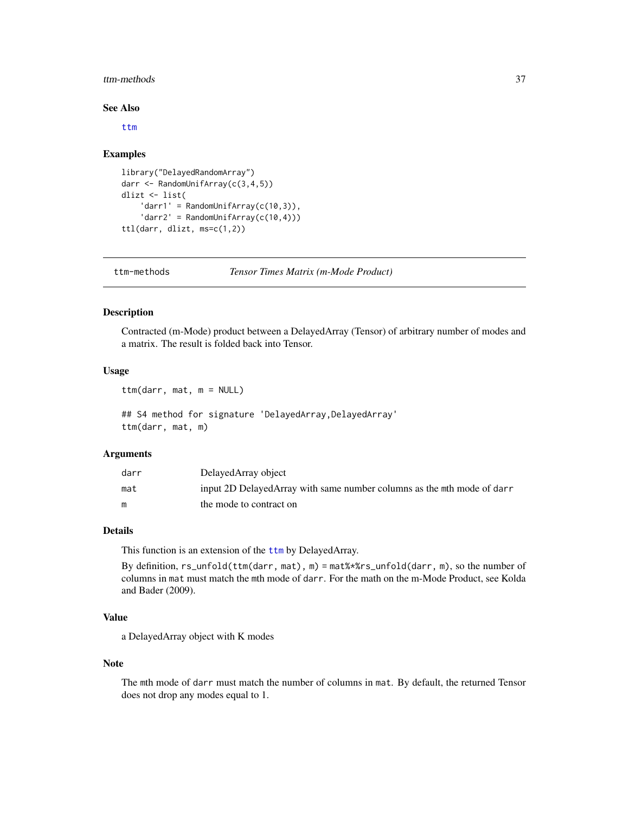#### <span id="page-36-0"></span>ttm-methods 37

#### See Also

[ttm](#page-36-1)

#### Examples

```
library("DelayedRandomArray")
darr <- RandomUnifArray(c(3,4,5))
dlizt <- list(
    'darr1' = RandomUniform( c(10, 3) ),
    'darr2' = RandomUniform(C(10, 4)))ttl(darr, dlizt, ms=c(1,2))
```
ttm-methods *Tensor Times Matrix (m-Mode Product)*

## <span id="page-36-1"></span>Description

Contracted (m-Mode) product between a DelayedArray (Tensor) of arbitrary number of modes and a matrix. The result is folded back into Tensor.

#### Usage

ttm(darr, mat, m = NULL)

```
## S4 method for signature 'DelayedArray, DelayedArray'
ttm(darr, mat, m)
```
#### Arguments

| darr | DelayedArray object                                                    |
|------|------------------------------------------------------------------------|
| mat  | input 2D DelayedArray with same number columns as the mth mode of darr |
|      | the mode to contract on                                                |

## Details

This function is an extension of the [ttm](#page-36-1) by DelayedArray.

By definition, rs\_unfold(ttm(darr, mat), m) = mat%\*%rs\_unfold(darr, m), so the number of columns in mat must match the mth mode of darr. For the math on the m-Mode Product, see Kolda and Bader (2009).

## Value

a DelayedArray object with K modes

#### Note

The mth mode of darr must match the number of columns in mat. By default, the returned Tensor does not drop any modes equal to 1.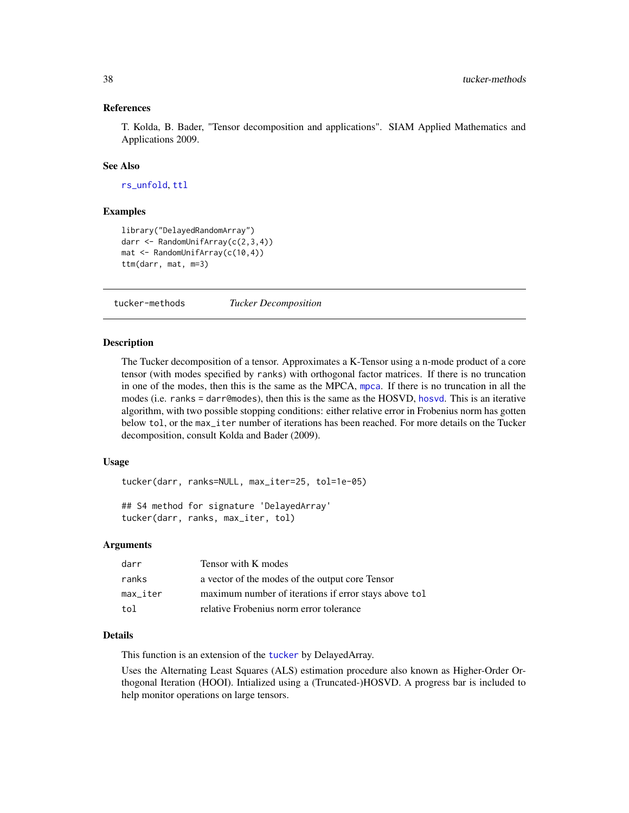#### <span id="page-37-0"></span>References

T. Kolda, B. Bader, "Tensor decomposition and applications". SIAM Applied Mathematics and Applications 2009.

#### See Also

[rs\\_unfold](#page-33-1), [ttl](#page-35-1)

#### Examples

```
library("DelayedRandomArray")
darr <- RandomUnifArray(c(2,3,4))
mat <- RandomUnifArray(c(10,4))
ttm(darr, mat, m=3)
```
tucker-methods *Tucker Decomposition*

#### <span id="page-37-1"></span>Description

The Tucker decomposition of a tensor. Approximates a K-Tensor using a n-mode product of a core tensor (with modes specified by ranks) with orthogonal factor matrices. If there is no truncation in one of the modes, then this is the same as the MPCA, [mpca](#page-28-1). If there is no truncation in all the modes (i.e. ranks = darr@modes), then this is the same as the HOSVD, [hosvd](#page-15-1). This is an iterative algorithm, with two possible stopping conditions: either relative error in Frobenius norm has gotten below tol, or the max\_iter number of iterations has been reached. For more details on the Tucker decomposition, consult Kolda and Bader (2009).

### Usage

```
tucker(darr, ranks=NULL, max_iter=25, tol=1e-05)
```

```
## S4 method for signature 'DelayedArray'
tucker(darr, ranks, max_iter, tol)
```
#### Arguments

| darr     | Tensor with K modes                                   |
|----------|-------------------------------------------------------|
| ranks    | a vector of the modes of the output core Tensor       |
| max_iter | maximum number of iterations if error stays above tol |
| tol      | relative Frobenius norm error tolerance               |

## Details

This function is an extension of the [tucker](#page-37-1) by DelayedArray.

Uses the Alternating Least Squares (ALS) estimation procedure also known as Higher-Order Orthogonal Iteration (HOOI). Intialized using a (Truncated-)HOSVD. A progress bar is included to help monitor operations on large tensors.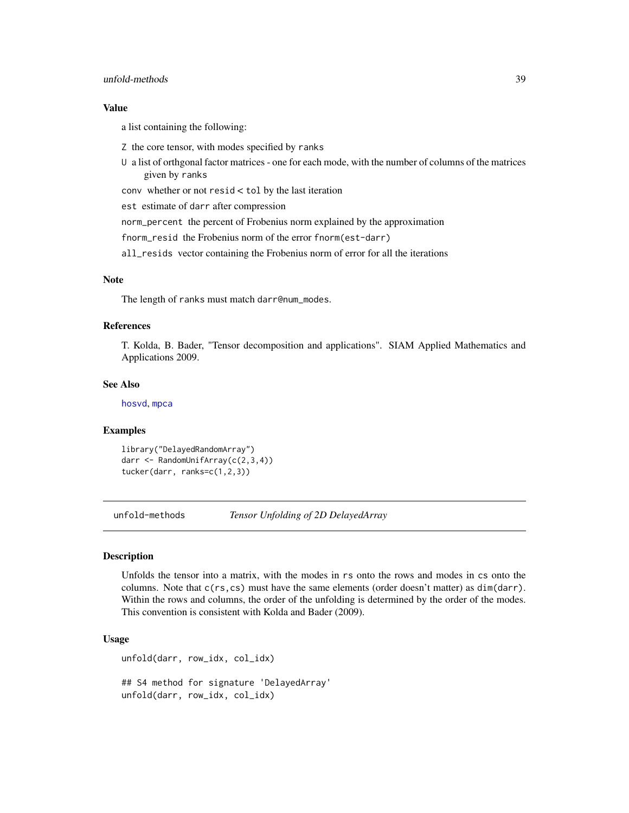## <span id="page-38-0"></span>unfold-methods 39

#### Value

a list containing the following:

- Z the core tensor, with modes specified by ranks
- U a list of orthgonal factor matrices one for each mode, with the number of columns of the matrices given by ranks

conv whether or not resid < tol by the last iteration

est estimate of darr after compression

norm\_percent the percent of Frobenius norm explained by the approximation

fnorm\_resid the Frobenius norm of the error fnorm(est-darr)

all\_resids vector containing the Frobenius norm of error for all the iterations

#### Note

The length of ranks must match darr@num\_modes.

#### References

T. Kolda, B. Bader, "Tensor decomposition and applications". SIAM Applied Mathematics and Applications 2009.

#### See Also

[hosvd](#page-15-1), [mpca](#page-28-1)

#### Examples

```
library("DelayedRandomArray")
darr <- RandomUnifArray(c(2,3,4))
tucker(darr, ranks=c(1,2,3))
```
unfold-methods *Tensor Unfolding of 2D DelayedArray*

## <span id="page-38-1"></span>Description

Unfolds the tensor into a matrix, with the modes in rs onto the rows and modes in cs onto the columns. Note that c(rs,cs) must have the same elements (order doesn't matter) as dim(darr). Within the rows and columns, the order of the unfolding is determined by the order of the modes. This convention is consistent with Kolda and Bader (2009).

#### Usage

```
unfold(darr, row_idx, col_idx)
## S4 method for signature 'DelayedArray'
unfold(darr, row_idx, col_idx)
```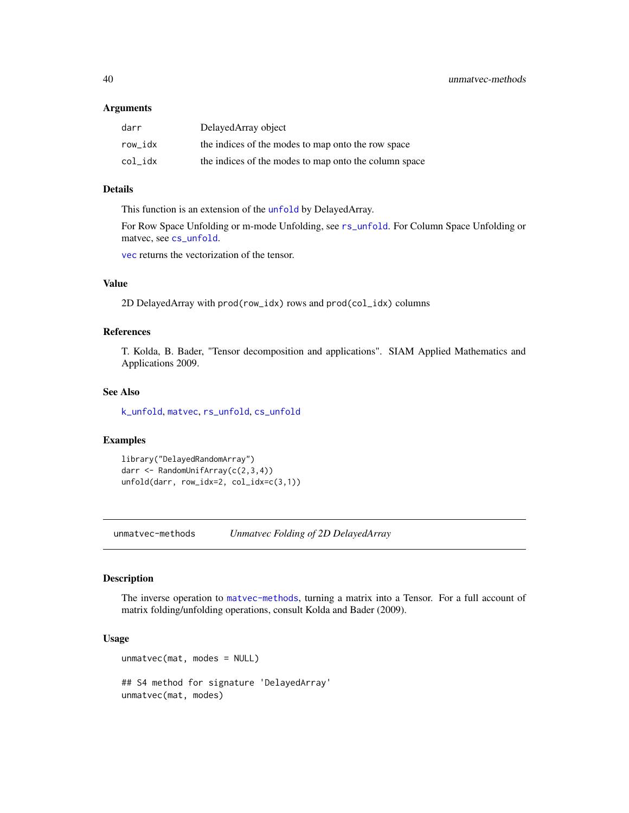#### <span id="page-39-0"></span>Arguments

| darr    | DelayedArray object                                   |
|---------|-------------------------------------------------------|
| row idx | the indices of the modes to map onto the row space    |
| col idx | the indices of the modes to map onto the column space |

#### Details

This function is an extension of the [unfold](#page-38-1) by DelayedArray.

For Row Space Unfolding or m-mode Unfolding, see [rs\\_unfold](#page-33-1). For Column Space Unfolding or matvec, see [cs\\_unfold](#page-6-1).

[vec](#page-40-1) returns the vectorization of the tensor.

## Value

2D DelayedArray with prod(row\_idx) rows and prod(col\_idx) columns

## References

T. Kolda, B. Bader, "Tensor decomposition and applications". SIAM Applied Mathematics and Applications 2009.

#### See Also

[k\\_unfold](#page-22-1), [matvec](#page-23-1), [rs\\_unfold](#page-33-1), [cs\\_unfold](#page-6-1)

## Examples

```
library("DelayedRandomArray")
darr <- RandomUnifArray(c(2,3,4))
unfold(darr, row_idx=2, col_idx=c(3,1))
```
unmatvec-methods *Unmatvec Folding of 2D DelayedArray*

#### <span id="page-39-1"></span>Description

The inverse operation to [matvec-methods](#page-23-3), turning a matrix into a Tensor. For a full account of matrix folding/unfolding operations, consult Kolda and Bader (2009).

#### Usage

```
unmatvec(mat, modes = NULL)
## S4 method for signature 'DelayedArray'
unmatvec(mat, modes)
```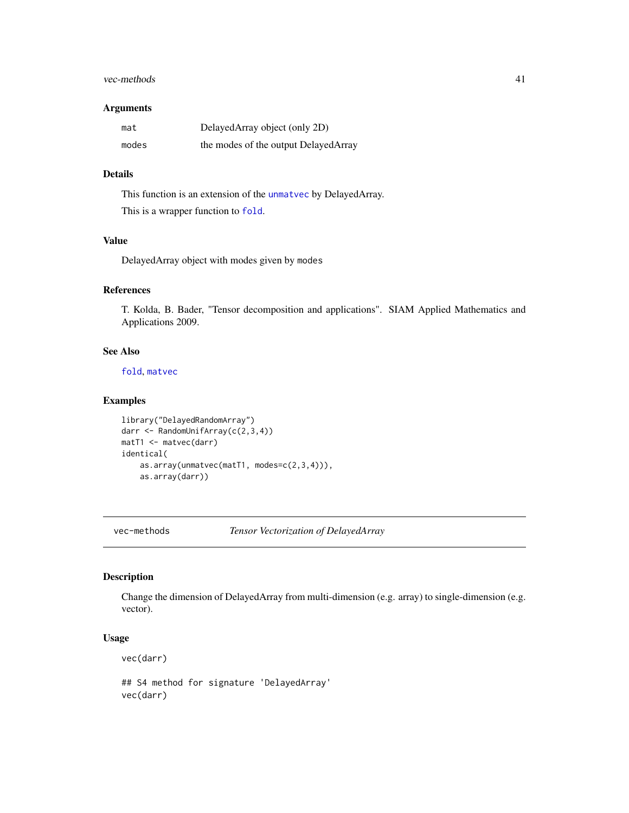#### <span id="page-40-0"></span>vec-methods 41

#### Arguments

| mat   | DelayedArray object (only 2D)         |
|-------|---------------------------------------|
| modes | the modes of the output Delayed Array |

## Details

This function is an extension of the [unmatvec](#page-39-1) by DelayedArray. This is a wrapper function to [fold](#page-11-1).

## Value

DelayedArray object with modes given by modes

## References

T. Kolda, B. Bader, "Tensor decomposition and applications". SIAM Applied Mathematics and Applications 2009.

## See Also

[fold](#page-11-1), [matvec](#page-23-1)

## Examples

```
library("DelayedRandomArray")
darr <- RandomUnifArray(c(2,3,4))
matT1 <- matvec(darr)
identical(
   as.array(unmatvec(matT1, modes=c(2,3,4))),
   as.array(darr))
```
vec-methods *Tensor Vectorization of DelayedArray*

## <span id="page-40-1"></span>Description

Change the dimension of DelayedArray from multi-dimension (e.g. array) to single-dimension (e.g. vector).

## Usage

vec(darr)

## S4 method for signature 'DelayedArray' vec(darr)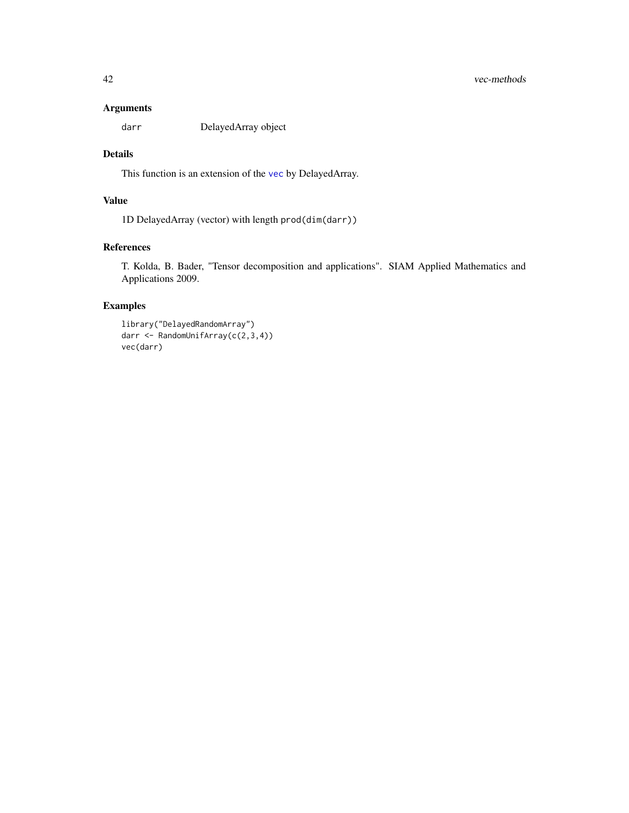#### <span id="page-41-0"></span>Arguments

darr DelayedArray object

## Details

This function is an extension of the [vec](#page-40-1) by DelayedArray.

## Value

1D DelayedArray (vector) with length prod(dim(darr))

## References

T. Kolda, B. Bader, "Tensor decomposition and applications". SIAM Applied Mathematics and Applications 2009.

```
library("DelayedRandomArray")
darr <- RandomUnifArray(c(2,3,4))
vec(darr)
```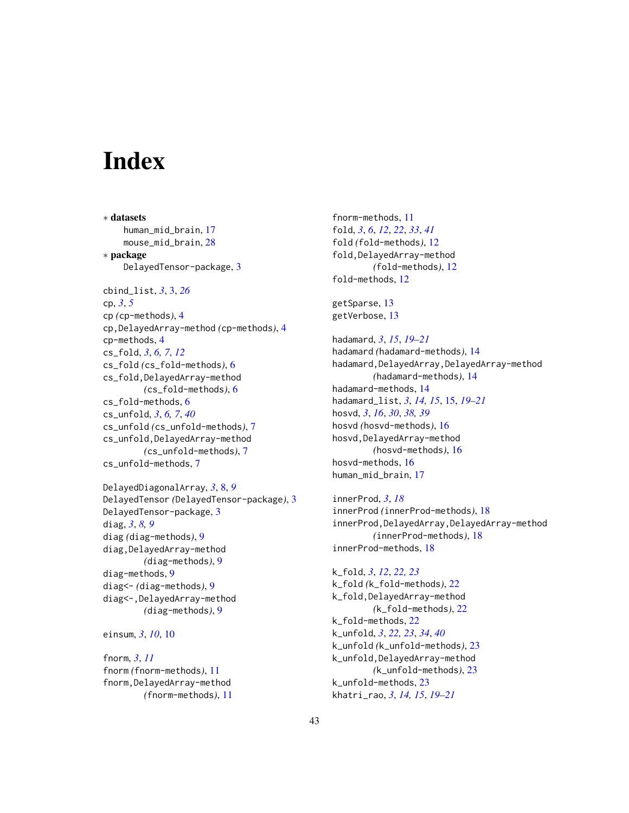# <span id="page-42-0"></span>**Index**

∗ datasets human\_mid\_brain, [17](#page-16-0) mouse\_mid\_brain, [28](#page-27-0) ∗ package DelayedTensor-package, [3](#page-2-0) cbind\_list, *[3](#page-2-0)*, [3,](#page-2-0) *[26](#page-25-0)* cp, *[3](#page-2-0)*, *[5](#page-4-0)* cp *(*cp-methods*)*, [4](#page-3-0) cp,DelayedArray-method *(*cp-methods*)*, [4](#page-3-0) cp-methods, [4](#page-3-0) cs\_fold, *[3](#page-2-0)*, *[6,](#page-5-0) [7](#page-6-0)*, *[12](#page-11-0)* cs\_fold *(*cs\_fold-methods*)*, [6](#page-5-0) cs\_fold,DelayedArray-method *(*cs\_fold-methods*)*, [6](#page-5-0) cs\_fold-methods, [6](#page-5-0) cs\_unfold, *[3](#page-2-0)*, *[6,](#page-5-0) [7](#page-6-0)*, *[40](#page-39-0)* cs\_unfold *(*cs\_unfold-methods*)*, [7](#page-6-0) cs\_unfold,DelayedArray-method *(*cs\_unfold-methods*)*, [7](#page-6-0) cs\_unfold-methods, [7](#page-6-0) DelayedDiagonalArray, *[3](#page-2-0)*, [8,](#page-7-0) *[9](#page-8-0)*

DelayedTensor *(*DelayedTensor-package*)*, [3](#page-2-0) DelayedTensor-package, [3](#page-2-0) diag, *[3](#page-2-0)*, *[8,](#page-7-0) [9](#page-8-0)* diag *(*diag-methods*)*, [9](#page-8-0) diag,DelayedArray-method *(*diag-methods*)*, [9](#page-8-0) diag-methods, [9](#page-8-0) diag<- *(*diag-methods*)*, [9](#page-8-0) diag<-,DelayedArray-method *(*diag-methods*)*, [9](#page-8-0)

einsum, *[3](#page-2-0)*, *[10](#page-9-0)*, [10](#page-9-0)

fnorm, *[3](#page-2-0)*, *[11](#page-10-0)* fnorm *(*fnorm-methods*)*, [11](#page-10-0) fnorm,DelayedArray-method *(*fnorm-methods*)*, [11](#page-10-0) fnorm-methods, [11](#page-10-0) fold, *[3](#page-2-0)*, *[6](#page-5-0)*, *[12](#page-11-0)*, *[22](#page-21-0)*, *[33](#page-32-0)*, *[41](#page-40-0)* fold *(*fold-methods*)*, [12](#page-11-0) fold,DelayedArray-method *(*fold-methods*)*, [12](#page-11-0) fold-methods, [12](#page-11-0)

getSparse, [13](#page-12-0) getVerbose, [13](#page-12-0)

hadamard, *[3](#page-2-0)*, *[15](#page-14-0)*, *[19](#page-18-0)[–21](#page-20-0)* hadamard *(*hadamard-methods*)*, [14](#page-13-0) hadamard,DelayedArray,DelayedArray-method *(*hadamard-methods*)*, [14](#page-13-0) hadamard-methods, [14](#page-13-0) hadamard\_list, *[3](#page-2-0)*, *[14,](#page-13-0) [15](#page-14-0)*, [15,](#page-14-0) *[19](#page-18-0)[–21](#page-20-0)* hosvd, *[3](#page-2-0)*, *[16](#page-15-0)*, *[30](#page-29-0)*, *[38,](#page-37-0) [39](#page-38-0)* hosvd *(*hosvd-methods*)*, [16](#page-15-0) hosvd,DelayedArray-method *(*hosvd-methods*)*, [16](#page-15-0) hosvd-methods, [16](#page-15-0) human\_mid\_brain, [17](#page-16-0)

innerProd, *[3](#page-2-0)*, *[18](#page-17-0)* innerProd *(*innerProd-methods*)*, [18](#page-17-0) innerProd,DelayedArray,DelayedArray-method *(*innerProd-methods*)*, [18](#page-17-0) innerProd-methods, [18](#page-17-0)

k\_fold, *[3](#page-2-0)*, *[12](#page-11-0)*, *[22,](#page-21-0) [23](#page-22-0)* k\_fold *(*k\_fold-methods*)*, [22](#page-21-0) k\_fold,DelayedArray-method *(*k\_fold-methods*)*, [22](#page-21-0) k\_fold-methods, [22](#page-21-0) k\_unfold, *[3](#page-2-0)*, *[22,](#page-21-0) [23](#page-22-0)*, *[34](#page-33-0)*, *[40](#page-39-0)* k\_unfold *(*k\_unfold-methods*)*, [23](#page-22-0) k\_unfold,DelayedArray-method *(*k\_unfold-methods*)*, [23](#page-22-0) k\_unfold-methods, [23](#page-22-0) khatri\_rao, *[3](#page-2-0)*, *[14,](#page-13-0) [15](#page-14-0)*, *[19](#page-18-0)[–21](#page-20-0)*